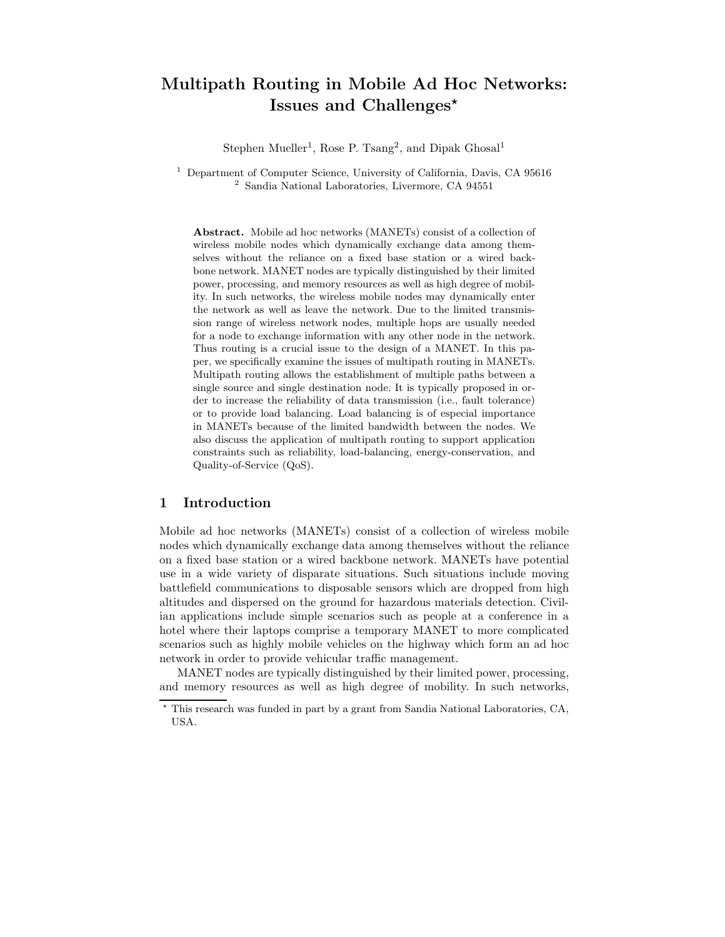# **Multipath Routing in Mobile Ad Hoc Networks: Issues and Challenges**

Stephen Mueller<sup>1</sup>, Rose P. Tsang<sup>2</sup>, and Dipak Ghosal<sup>1</sup>

<sup>1</sup> Department of Computer Science, University of California, Davis, CA 95616 <sup>2</sup> Sandia National Laboratories, Livermore, CA 94551

**Abstract.** Mobile ad hoc networks (MANETs) consist of a collection of wireless mobile nodes which dynamically exchange data among themselves without the reliance on a fixed base station or a wired backbone network. MANET nodes are typically distinguished by their limited power, processing, and memory resources as well as high degree of mobility. In such networks, the wireless mobile nodes may dynamically enter the network as well as leave the network. Due to the limited transmission range of wireless network nodes, multiple hops are usually needed for a node to exchange information with any other node in the network. Thus routing is a crucial issue to the design of a MANET. In this paper, we specifically examine the issues of multipath routing in MANETs. Multipath routing allows the establishment of multiple paths between a single source and single destination node. It is typically proposed in order to increase the reliability of data transmission (i.e., fault tolerance) or to provide load balancing. Load balancing is of especial importance in MANETs because of the limited bandwidth between the nodes. We also discuss the application of multipath routing to support application constraints such as reliability, load-balancing, energy-conservation, and Quality-of-Service (QoS).

# **1 Introduction**

Mobile ad hoc networks (MANETs) consist of a collection of wireless mobile nodes which dynamically exchange data among themselves without the reliance on a fixed base station or a wired backbone network. MANETs have potential use in a wide variety of disparate situations. Such situations include moving battlefield communications to disposable sensors which are dropped from high altitudes and dispersed on the ground for hazardous materials detection. Civilian applications include simple scenarios such as people at a conference in a hotel where their laptops comprise a temporary MANET to more complicated scenarios such as highly mobile vehicles on the highway which form an ad hoc network in order to provide vehicular traffic management.

MANET nodes are typically distinguished by their limited power, processing, and memory resources as well as high degree of mobility. In such networks,

This research was funded in part by a grant from Sandia National Laboratories, CA, USA.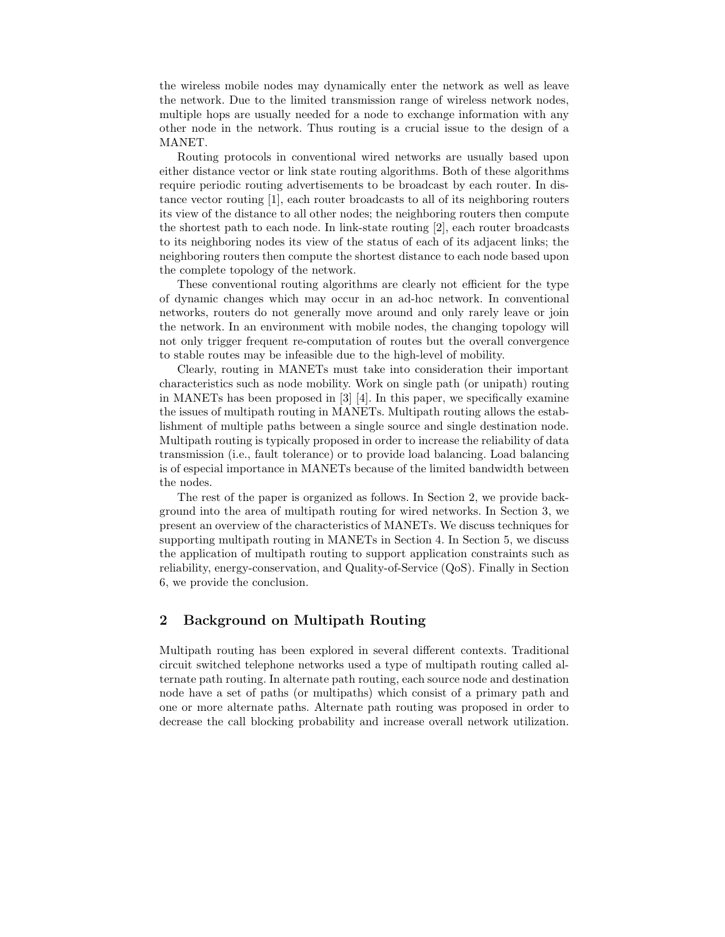the wireless mobile nodes may dynamically enter the network as well as leave the network. Due to the limited transmission range of wireless network nodes, multiple hops are usually needed for a node to exchange information with any other node in the network. Thus routing is a crucial issue to the design of a MANET.

Routing protocols in conventional wired networks are usually based upon either distance vector or link state routing algorithms. Both of these algorithms require periodic routing advertisements to be broadcast by each router. In distance vector routing [1], each router broadcasts to all of its neighboring routers its view of the distance to all other nodes; the neighboring routers then compute the shortest path to each node. In link-state routing [2], each router broadcasts to its neighboring nodes its view of the status of each of its adjacent links; the neighboring routers then compute the shortest distance to each node based upon the complete topology of the network.

These conventional routing algorithms are clearly not efficient for the type of dynamic changes which may occur in an ad-hoc network. In conventional networks, routers do not generally move around and only rarely leave or join the network. In an environment with mobile nodes, the changing topology will not only trigger frequent re-computation of routes but the overall convergence to stable routes may be infeasible due to the high-level of mobility.

Clearly, routing in MANETs must take into consideration their important characteristics such as node mobility. Work on single path (or unipath) routing in MANETs has been proposed in [3] [4]. In this paper, we specifically examine the issues of multipath routing in MANETs. Multipath routing allows the establishment of multiple paths between a single source and single destination node. Multipath routing is typically proposed in order to increase the reliability of data transmission (i.e., fault tolerance) or to provide load balancing. Load balancing is of especial importance in MANETs because of the limited bandwidth between the nodes.

The rest of the paper is organized as follows. In Section 2, we provide background into the area of multipath routing for wired networks. In Section 3, we present an overview of the characteristics of MANETs. We discuss techniques for supporting multipath routing in MANETs in Section 4. In Section 5, we discuss the application of multipath routing to support application constraints such as reliability, energy-conservation, and Quality-of-Service (QoS). Finally in Section 6, we provide the conclusion.

# **2 Background on Multipath Routing**

Multipath routing has been explored in several different contexts. Traditional circuit switched telephone networks used a type of multipath routing called alternate path routing. In alternate path routing, each source node and destination node have a set of paths (or multipaths) which consist of a primary path and one or more alternate paths. Alternate path routing was proposed in order to decrease the call blocking probability and increase overall network utilization.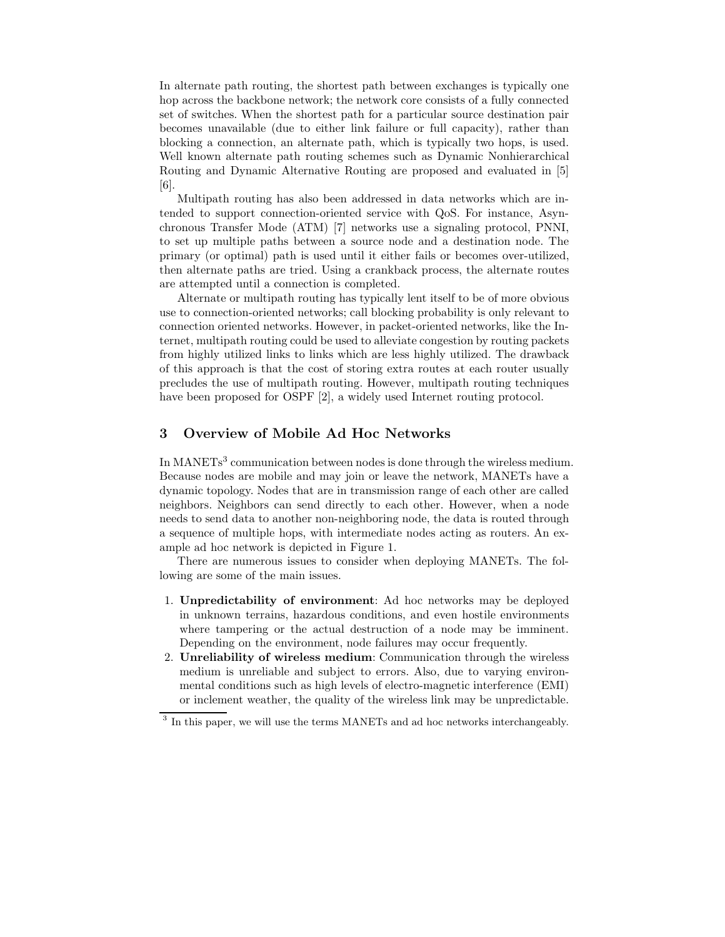In alternate path routing, the shortest path between exchanges is typically one hop across the backbone network; the network core consists of a fully connected set of switches. When the shortest path for a particular source destination pair becomes unavailable (due to either link failure or full capacity), rather than blocking a connection, an alternate path, which is typically two hops, is used. Well known alternate path routing schemes such as Dynamic Nonhierarchical Routing and Dynamic Alternative Routing are proposed and evaluated in [5]  $[6]$ 

Multipath routing has also been addressed in data networks which are intended to support connection-oriented service with QoS. For instance, Asynchronous Transfer Mode (ATM) [7] networks use a signaling protocol, PNNI, to set up multiple paths between a source node and a destination node. The primary (or optimal) path is used until it either fails or becomes over-utilized, then alternate paths are tried. Using a crankback process, the alternate routes are attempted until a connection is completed.

Alternate or multipath routing has typically lent itself to be of more obvious use to connection-oriented networks; call blocking probability is only relevant to connection oriented networks. However, in packet-oriented networks, like the Internet, multipath routing could be used to alleviate congestion by routing packets from highly utilized links to links which are less highly utilized. The drawback of this approach is that the cost of storing extra routes at each router usually precludes the use of multipath routing. However, multipath routing techniques have been proposed for OSPF [2], a widely used Internet routing protocol.

# **3 Overview of Mobile Ad Hoc Networks**

In MANETs<sup>3</sup> communication between nodes is done through the wireless medium. Because nodes are mobile and may join or leave the network, MANETs have a dynamic topology. Nodes that are in transmission range of each other are called neighbors. Neighbors can send directly to each other. However, when a node needs to send data to another non-neighboring node, the data is routed through a sequence of multiple hops, with intermediate nodes acting as routers. An example ad hoc network is depicted in Figure 1.

There are numerous issues to consider when deploying MANETs. The following are some of the main issues.

- 1. **Unpredictability of environment**: Ad hoc networks may be deployed in unknown terrains, hazardous conditions, and even hostile environments where tampering or the actual destruction of a node may be imminent. Depending on the environment, node failures may occur frequently.
- 2. **Unreliability of wireless medium**: Communication through the wireless medium is unreliable and subject to errors. Also, due to varying environmental conditions such as high levels of electro-magnetic interference (EMI) or inclement weather, the quality of the wireless link may be unpredictable.

 $^3$  In this paper, we will use the terms MANETs and ad hoc networks interchangeably.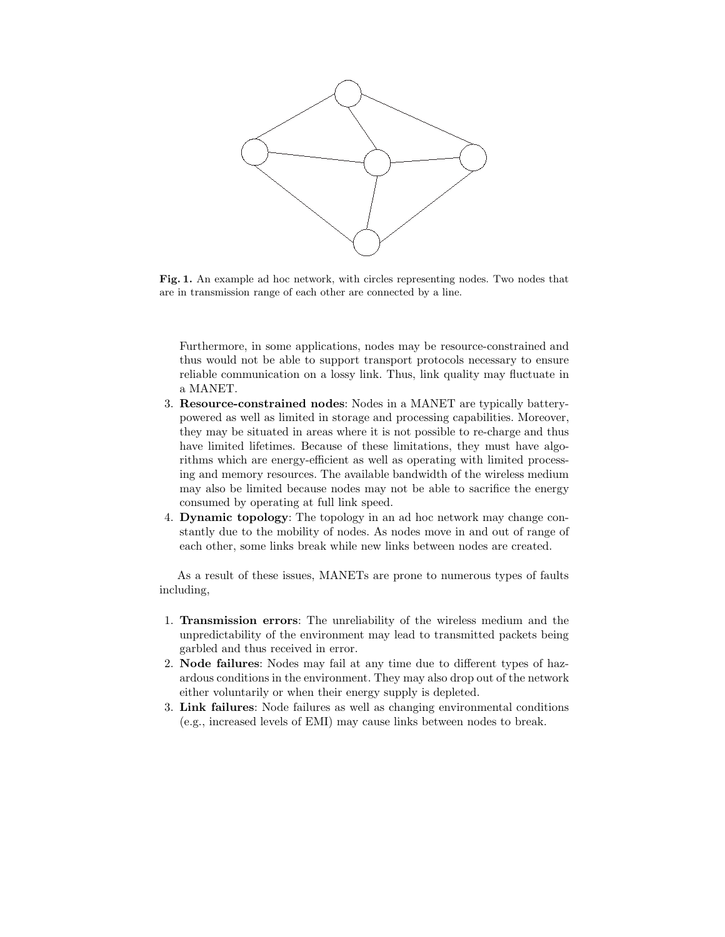

**Fig. 1.** An example ad hoc network, with circles representing nodes. Two nodes that are in transmission range of each other are connected by a line.

Furthermore, in some applications, nodes may be resource-constrained and thus would not be able to support transport protocols necessary to ensure reliable communication on a lossy link. Thus, link quality may fluctuate in a MANET.

- 3. **Resource-constrained nodes**: Nodes in a MANET are typically batterypowered as well as limited in storage and processing capabilities. Moreover, they may be situated in areas where it is not possible to re-charge and thus have limited lifetimes. Because of these limitations, they must have algorithms which are energy-efficient as well as operating with limited processing and memory resources. The available bandwidth of the wireless medium may also be limited because nodes may not be able to sacrifice the energy consumed by operating at full link speed.
- 4. **Dynamic topology**: The topology in an ad hoc network may change constantly due to the mobility of nodes. As nodes move in and out of range of each other, some links break while new links between nodes are created.

As a result of these issues, MANETs are prone to numerous types of faults including,

- 1. **Transmission errors**: The unreliability of the wireless medium and the unpredictability of the environment may lead to transmitted packets being garbled and thus received in error.
- 2. **Node failures**: Nodes may fail at any time due to different types of hazardous conditions in the environment. They may also drop out of the network either voluntarily or when their energy supply is depleted.
- 3. **Link failures**: Node failures as well as changing environmental conditions (e.g., increased levels of EMI) may cause links between nodes to break.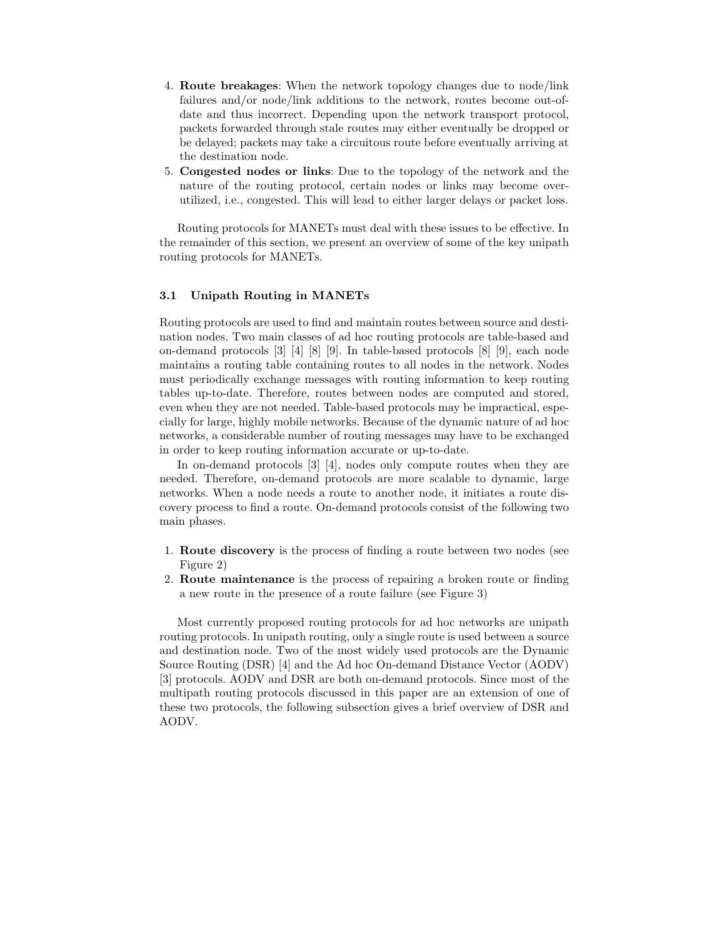- 4. **Route breakages**: When the network topology changes due to node/link failures and/or node/link additions to the network, routes become out-ofdate and thus incorrect. Depending upon the network transport protocol, packets forwarded through stale routes may either eventually be dropped or be delayed; packets may take a circuitous route before eventually arriving at the destination node.
- 5. **Congested nodes or links**: Due to the topology of the network and the nature of the routing protocol, certain nodes or links may become overutilized, i.e., congested. This will lead to either larger delays or packet loss.

Routing protocols for MANETs must deal with these issues to be effective. In the remainder of this section, we present an overview of some of the key unipath routing protocols for MANETs.

### **3.1 Unipath Routing in MANETs**

Routing protocols are used to find and maintain routes between source and destination nodes. Two main classes of ad hoc routing protocols are table-based and on-demand protocols [3] [4] [8] [9]. In table-based protocols [8] [9], each node maintains a routing table containing routes to all nodes in the network. Nodes must periodically exchange messages with routing information to keep routing tables up-to-date. Therefore, routes between nodes are computed and stored, even when they are not needed. Table-based protocols may be impractical, especially for large, highly mobile networks. Because of the dynamic nature of ad hoc networks, a considerable number of routing messages may have to be exchanged in order to keep routing information accurate or up-to-date.

In on-demand protocols [3] [4], nodes only compute routes when they are needed. Therefore, on-demand protocols are more scalable to dynamic, large networks. When a node needs a route to another node, it initiates a route discovery process to find a route. On-demand protocols consist of the following two main phases.

- 1. **Route discovery** is the process of finding a route between two nodes (see Figure 2)
- 2. **Route maintenance** is the process of repairing a broken route or finding a new route in the presence of a route failure (see Figure 3)

Most currently proposed routing protocols for ad hoc networks are unipath routing protocols. In unipath routing, only a single route is used between a source and destination node. Two of the most widely used protocols are the Dynamic Source Routing (DSR) [4] and the Ad hoc On-demand Distance Vector (AODV) [3] protocols. AODV and DSR are both on-demand protocols. Since most of the multipath routing protocols discussed in this paper are an extension of one of these two protocols, the following subsection gives a brief overview of DSR and AODV.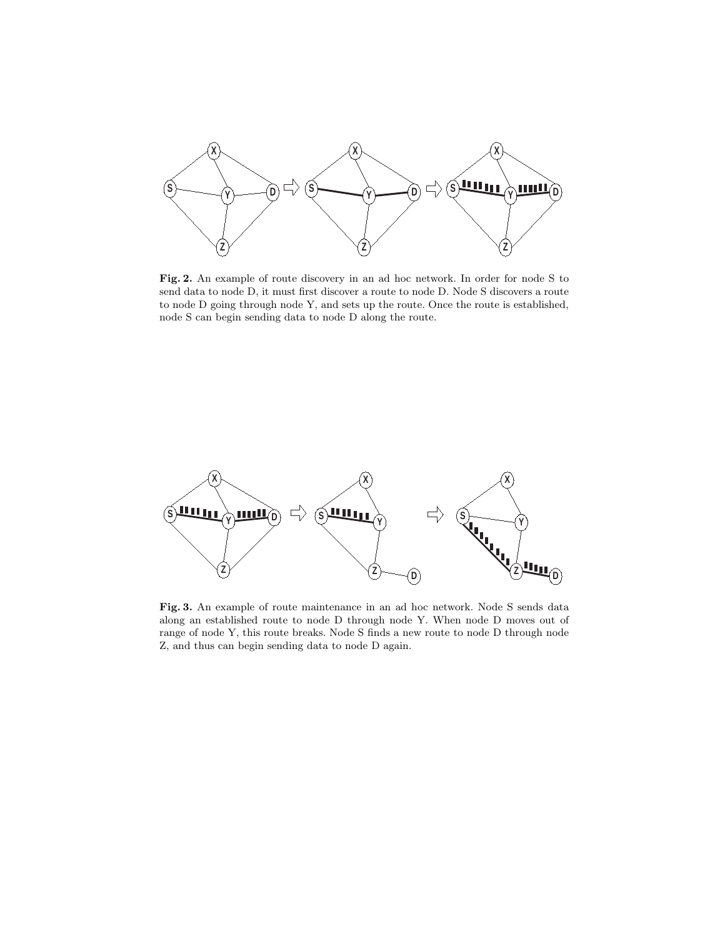

**Fig. 2.** An example of route discovery in an ad hoc network. In order for node S to send data to node D, it must first discover a route to node D. Node S discovers a route to node D going through node Y, and sets up the route. Once the route is established, node S can begin sending data to node D along the route.



**Fig. 3.** An example of route maintenance in an ad hoc network. Node S sends data along an established route to node D through node Y. When node D moves out of range of node Y, this route breaks. Node S finds a new route to node D through node Z, and thus can begin sending data to node D again.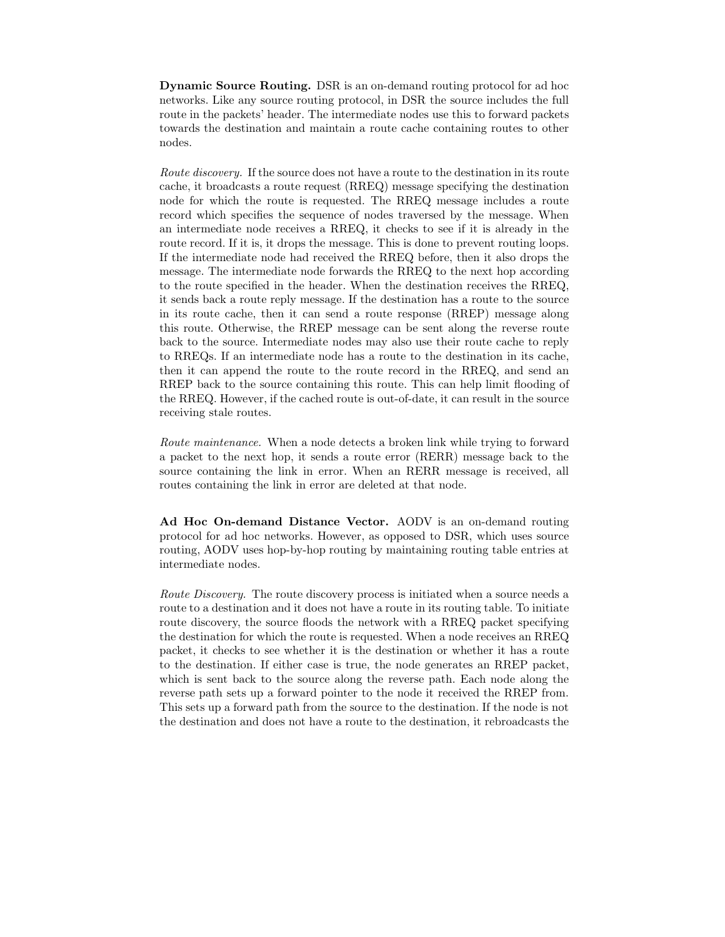**Dynamic Source Routing.** DSR is an on-demand routing protocol for ad hoc networks. Like any source routing protocol, in DSR the source includes the full route in the packets' header. The intermediate nodes use this to forward packets towards the destination and maintain a route cache containing routes to other nodes.

*Route discovery.* If the source does not have a route to the destination in its route cache, it broadcasts a route request (RREQ) message specifying the destination node for which the route is requested. The RREQ message includes a route record which specifies the sequence of nodes traversed by the message. When an intermediate node receives a RREQ, it checks to see if it is already in the route record. If it is, it drops the message. This is done to prevent routing loops. If the intermediate node had received the RREQ before, then it also drops the message. The intermediate node forwards the RREQ to the next hop according to the route specified in the header. When the destination receives the RREQ, it sends back a route reply message. If the destination has a route to the source in its route cache, then it can send a route response (RREP) message along this route. Otherwise, the RREP message can be sent along the reverse route back to the source. Intermediate nodes may also use their route cache to reply to RREQs. If an intermediate node has a route to the destination in its cache, then it can append the route to the route record in the RREQ, and send an RREP back to the source containing this route. This can help limit flooding of the RREQ. However, if the cached route is out-of-date, it can result in the source receiving stale routes.

*Route maintenance.* When a node detects a broken link while trying to forward a packet to the next hop, it sends a route error (RERR) message back to the source containing the link in error. When an RERR message is received, all routes containing the link in error are deleted at that node.

**Ad Hoc On-demand Distance Vector.** AODV is an on-demand routing protocol for ad hoc networks. However, as opposed to DSR, which uses source routing, AODV uses hop-by-hop routing by maintaining routing table entries at intermediate nodes.

*Route Discovery.* The route discovery process is initiated when a source needs a route to a destination and it does not have a route in its routing table. To initiate route discovery, the source floods the network with a RREQ packet specifying the destination for which the route is requested. When a node receives an RREQ packet, it checks to see whether it is the destination or whether it has a route to the destination. If either case is true, the node generates an RREP packet, which is sent back to the source along the reverse path. Each node along the reverse path sets up a forward pointer to the node it received the RREP from. This sets up a forward path from the source to the destination. If the node is not the destination and does not have a route to the destination, it rebroadcasts the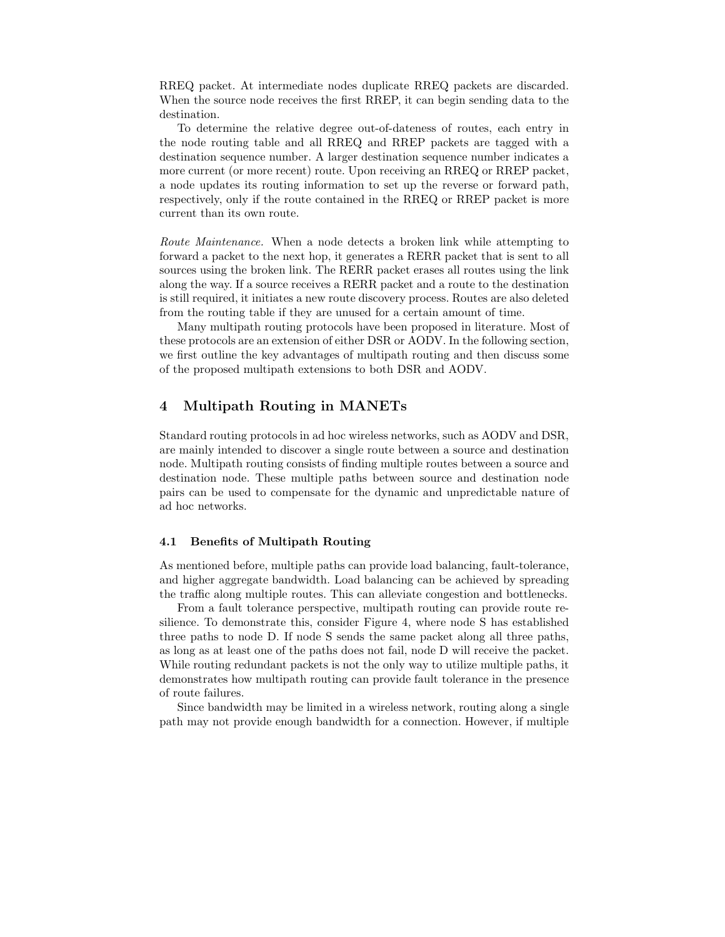RREQ packet. At intermediate nodes duplicate RREQ packets are discarded. When the source node receives the first RREP, it can begin sending data to the destination.

To determine the relative degree out-of-dateness of routes, each entry in the node routing table and all RREQ and RREP packets are tagged with a destination sequence number. A larger destination sequence number indicates a more current (or more recent) route. Upon receiving an RREQ or RREP packet, a node updates its routing information to set up the reverse or forward path, respectively, only if the route contained in the RREQ or RREP packet is more current than its own route.

*Route Maintenance.* When a node detects a broken link while attempting to forward a packet to the next hop, it generates a RERR packet that is sent to all sources using the broken link. The RERR packet erases all routes using the link along the way. If a source receives a RERR packet and a route to the destination is still required, it initiates a new route discovery process. Routes are also deleted from the routing table if they are unused for a certain amount of time.

Many multipath routing protocols have been proposed in literature. Most of these protocols are an extension of either DSR or AODV. In the following section, we first outline the key advantages of multipath routing and then discuss some of the proposed multipath extensions to both DSR and AODV.

# **4 Multipath Routing in MANETs**

Standard routing protocols in ad hoc wireless networks, such as AODV and DSR, are mainly intended to discover a single route between a source and destination node. Multipath routing consists of finding multiple routes between a source and destination node. These multiple paths between source and destination node pairs can be used to compensate for the dynamic and unpredictable nature of ad hoc networks.

### **4.1 Benefits of Multipath Routing**

As mentioned before, multiple paths can provide load balancing, fault-tolerance, and higher aggregate bandwidth. Load balancing can be achieved by spreading the traffic along multiple routes. This can alleviate congestion and bottlenecks.

From a fault tolerance perspective, multipath routing can provide route resilience. To demonstrate this, consider Figure 4, where node S has established three paths to node D. If node S sends the same packet along all three paths, as long as at least one of the paths does not fail, node D will receive the packet. While routing redundant packets is not the only way to utilize multiple paths, it demonstrates how multipath routing can provide fault tolerance in the presence of route failures.

Since bandwidth may be limited in a wireless network, routing along a single path may not provide enough bandwidth for a connection. However, if multiple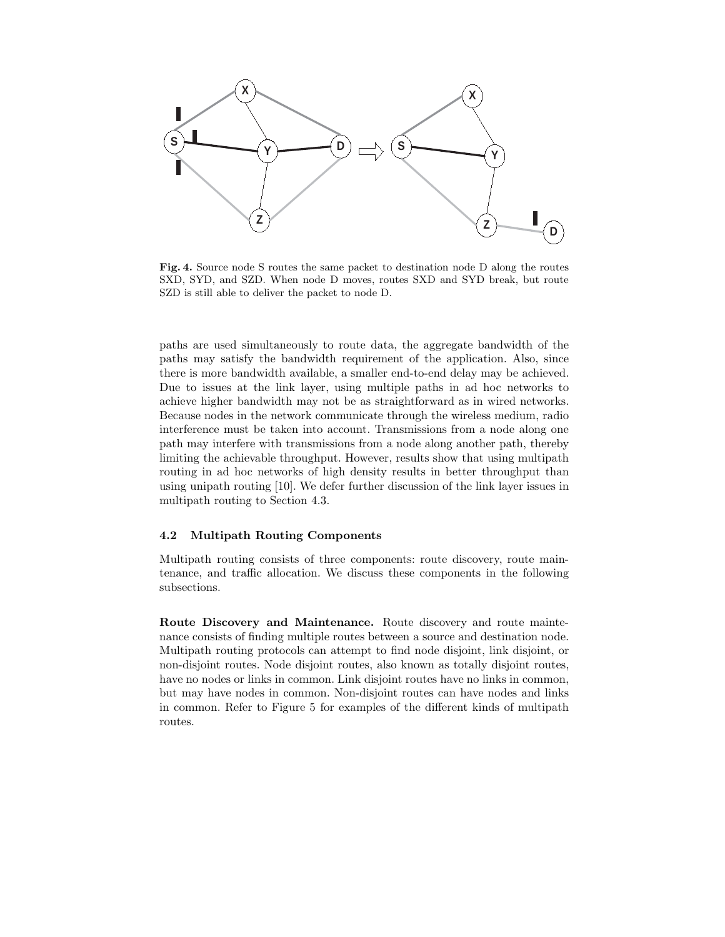

Fig. 4. Source node S routes the same packet to destination node D along the routes SXD, SYD, and SZD. When node D moves, routes SXD and SYD break, but route SZD is still able to deliver the packet to node D.

paths are used simultaneously to route data, the aggregate bandwidth of the paths may satisfy the bandwidth requirement of the application. Also, since there is more bandwidth available, a smaller end-to-end delay may be achieved. Due to issues at the link layer, using multiple paths in ad hoc networks to achieve higher bandwidth may not be as straightforward as in wired networks. Because nodes in the network communicate through the wireless medium, radio interference must be taken into account. Transmissions from a node along one path may interfere with transmissions from a node along another path, thereby limiting the achievable throughput. However, results show that using multipath routing in ad hoc networks of high density results in better throughput than using unipath routing [10]. We defer further discussion of the link layer issues in multipath routing to Section 4.3.

### **4.2 Multipath Routing Components**

Multipath routing consists of three components: route discovery, route maintenance, and traffic allocation. We discuss these components in the following subsections.

**Route Discovery and Maintenance.** Route discovery and route maintenance consists of finding multiple routes between a source and destination node. Multipath routing protocols can attempt to find node disjoint, link disjoint, or non-disjoint routes. Node disjoint routes, also known as totally disjoint routes, have no nodes or links in common. Link disjoint routes have no links in common, but may have nodes in common. Non-disjoint routes can have nodes and links in common. Refer to Figure 5 for examples of the different kinds of multipath routes.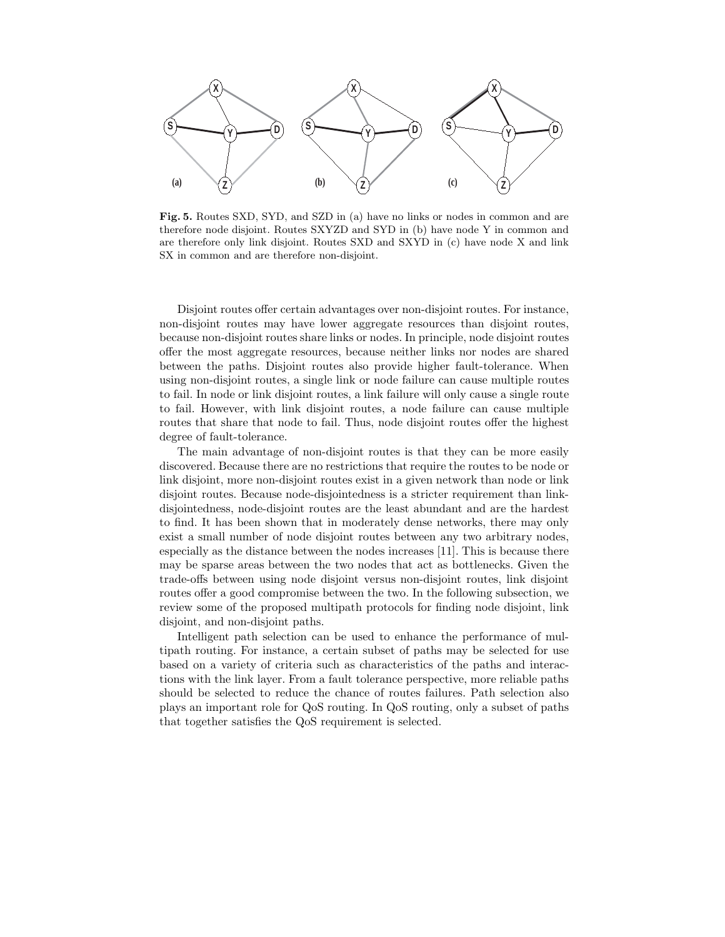

**Fig. 5.** Routes SXD, SYD, and SZD in (a) have no links or nodes in common and are therefore node disjoint. Routes SXYZD and SYD in (b) have node Y in common and are therefore only link disjoint. Routes SXD and SXYD in (c) have node X and link SX in common and are therefore non-disjoint.

Disjoint routes offer certain advantages over non-disjoint routes. For instance, non-disjoint routes may have lower aggregate resources than disjoint routes, because non-disjoint routes share links or nodes. In principle, node disjoint routes offer the most aggregate resources, because neither links nor nodes are shared between the paths. Disjoint routes also provide higher fault-tolerance. When using non-disjoint routes, a single link or node failure can cause multiple routes to fail. In node or link disjoint routes, a link failure will only cause a single route to fail. However, with link disjoint routes, a node failure can cause multiple routes that share that node to fail. Thus, node disjoint routes offer the highest degree of fault-tolerance.

The main advantage of non-disjoint routes is that they can be more easily discovered. Because there are no restrictions that require the routes to be node or link disjoint, more non-disjoint routes exist in a given network than node or link disjoint routes. Because node-disjointedness is a stricter requirement than linkdisjointedness, node-disjoint routes are the least abundant and are the hardest to find. It has been shown that in moderately dense networks, there may only exist a small number of node disjoint routes between any two arbitrary nodes, especially as the distance between the nodes increases [11]. This is because there may be sparse areas between the two nodes that act as bottlenecks. Given the trade-offs between using node disjoint versus non-disjoint routes, link disjoint routes offer a good compromise between the two. In the following subsection, we review some of the proposed multipath protocols for finding node disjoint, link disjoint, and non-disjoint paths.

Intelligent path selection can be used to enhance the performance of multipath routing. For instance, a certain subset of paths may be selected for use based on a variety of criteria such as characteristics of the paths and interactions with the link layer. From a fault tolerance perspective, more reliable paths should be selected to reduce the chance of routes failures. Path selection also plays an important role for QoS routing. In QoS routing, only a subset of paths that together satisfies the QoS requirement is selected.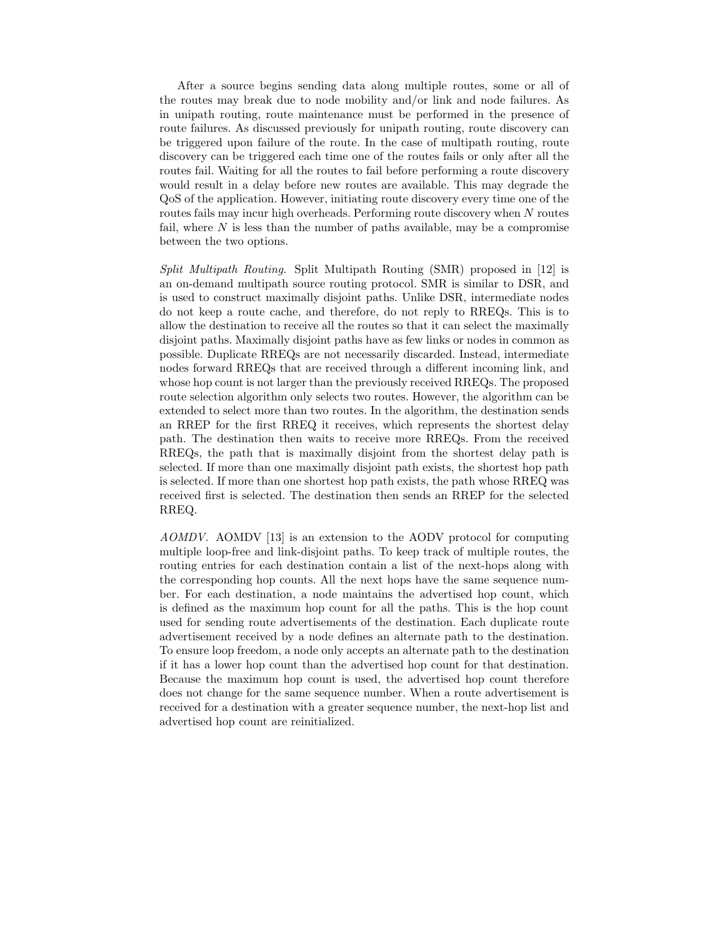After a source begins sending data along multiple routes, some or all of the routes may break due to node mobility and/or link and node failures. As in unipath routing, route maintenance must be performed in the presence of route failures. As discussed previously for unipath routing, route discovery can be triggered upon failure of the route. In the case of multipath routing, route discovery can be triggered each time one of the routes fails or only after all the routes fail. Waiting for all the routes to fail before performing a route discovery would result in a delay before new routes are available. This may degrade the QoS of the application. However, initiating route discovery every time one of the routes fails may incur high overheads. Performing route discovery when *N* routes fail, where *N* is less than the number of paths available, may be a compromise between the two options.

*Split Multipath Routing.* Split Multipath Routing (SMR) proposed in [12] is an on-demand multipath source routing protocol. SMR is similar to DSR, and is used to construct maximally disjoint paths. Unlike DSR, intermediate nodes do not keep a route cache, and therefore, do not reply to RREQs. This is to allow the destination to receive all the routes so that it can select the maximally disjoint paths. Maximally disjoint paths have as few links or nodes in common as possible. Duplicate RREQs are not necessarily discarded. Instead, intermediate nodes forward RREQs that are received through a different incoming link, and whose hop count is not larger than the previously received RREQs. The proposed route selection algorithm only selects two routes. However, the algorithm can be extended to select more than two routes. In the algorithm, the destination sends an RREP for the first RREQ it receives, which represents the shortest delay path. The destination then waits to receive more RREQs. From the received RREQs, the path that is maximally disjoint from the shortest delay path is selected. If more than one maximally disjoint path exists, the shortest hop path is selected. If more than one shortest hop path exists, the path whose RREQ was received first is selected. The destination then sends an RREP for the selected RREQ.

*AOMDV.* AOMDV [13] is an extension to the AODV protocol for computing multiple loop-free and link-disjoint paths. To keep track of multiple routes, the routing entries for each destination contain a list of the next-hops along with the corresponding hop counts. All the next hops have the same sequence number. For each destination, a node maintains the advertised hop count, which is defined as the maximum hop count for all the paths. This is the hop count used for sending route advertisements of the destination. Each duplicate route advertisement received by a node defines an alternate path to the destination. To ensure loop freedom, a node only accepts an alternate path to the destination if it has a lower hop count than the advertised hop count for that destination. Because the maximum hop count is used, the advertised hop count therefore does not change for the same sequence number. When a route advertisement is received for a destination with a greater sequence number, the next-hop list and advertised hop count are reinitialized.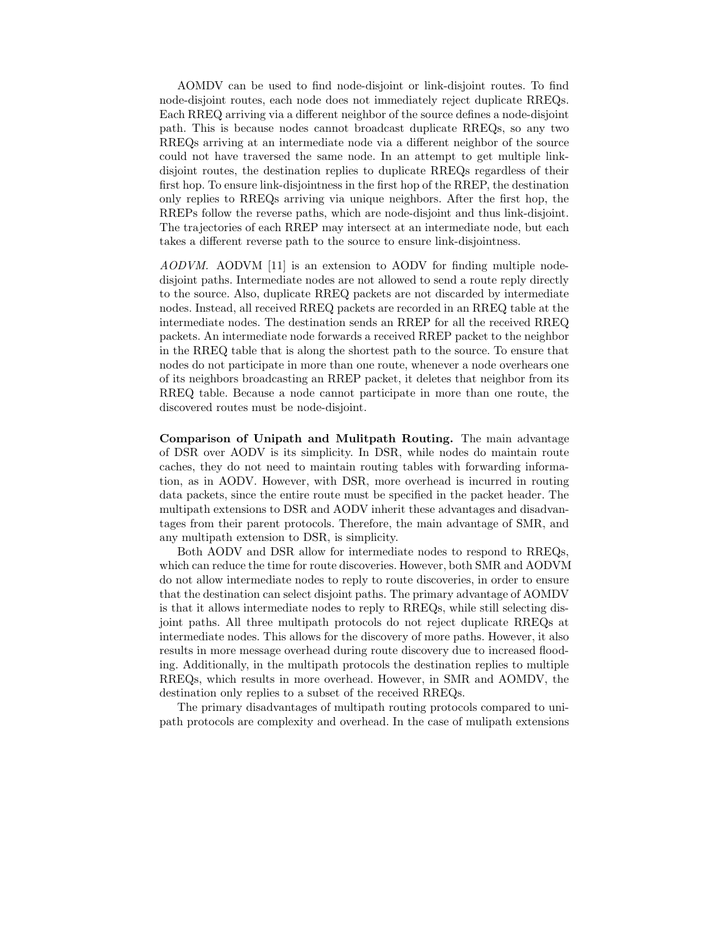AOMDV can be used to find node-disjoint or link-disjoint routes. To find node-disjoint routes, each node does not immediately reject duplicate RREQs. Each RREQ arriving via a different neighbor of the source defines a node-disjoint path. This is because nodes cannot broadcast duplicate RREQs, so any two RREQs arriving at an intermediate node via a different neighbor of the source could not have traversed the same node. In an attempt to get multiple linkdisjoint routes, the destination replies to duplicate RREQs regardless of their first hop. To ensure link-disjointness in the first hop of the RREP, the destination only replies to RREQs arriving via unique neighbors. After the first hop, the RREPs follow the reverse paths, which are node-disjoint and thus link-disjoint. The trajectories of each RREP may intersect at an intermediate node, but each takes a different reverse path to the source to ensure link-disjointness.

*AODVM.* AODVM [11] is an extension to AODV for finding multiple nodedisjoint paths. Intermediate nodes are not allowed to send a route reply directly to the source. Also, duplicate RREQ packets are not discarded by intermediate nodes. Instead, all received RREQ packets are recorded in an RREQ table at the intermediate nodes. The destination sends an RREP for all the received RREQ packets. An intermediate node forwards a received RREP packet to the neighbor in the RREQ table that is along the shortest path to the source. To ensure that nodes do not participate in more than one route, whenever a node overhears one of its neighbors broadcasting an RREP packet, it deletes that neighbor from its RREQ table. Because a node cannot participate in more than one route, the discovered routes must be node-disjoint.

**Comparison of Unipath and Mulitpath Routing.** The main advantage of DSR over AODV is its simplicity. In DSR, while nodes do maintain route caches, they do not need to maintain routing tables with forwarding information, as in AODV. However, with DSR, more overhead is incurred in routing data packets, since the entire route must be specified in the packet header. The multipath extensions to DSR and AODV inherit these advantages and disadvantages from their parent protocols. Therefore, the main advantage of SMR, and any multipath extension to DSR, is simplicity.

Both AODV and DSR allow for intermediate nodes to respond to RREQs, which can reduce the time for route discoveries. However, both SMR and AODVM do not allow intermediate nodes to reply to route discoveries, in order to ensure that the destination can select disjoint paths. The primary advantage of AOMDV is that it allows intermediate nodes to reply to RREQs, while still selecting disjoint paths. All three multipath protocols do not reject duplicate RREQs at intermediate nodes. This allows for the discovery of more paths. However, it also results in more message overhead during route discovery due to increased flooding. Additionally, in the multipath protocols the destination replies to multiple RREQs, which results in more overhead. However, in SMR and AOMDV, the destination only replies to a subset of the received RREQs.

The primary disadvantages of multipath routing protocols compared to unipath protocols are complexity and overhead. In the case of mulipath extensions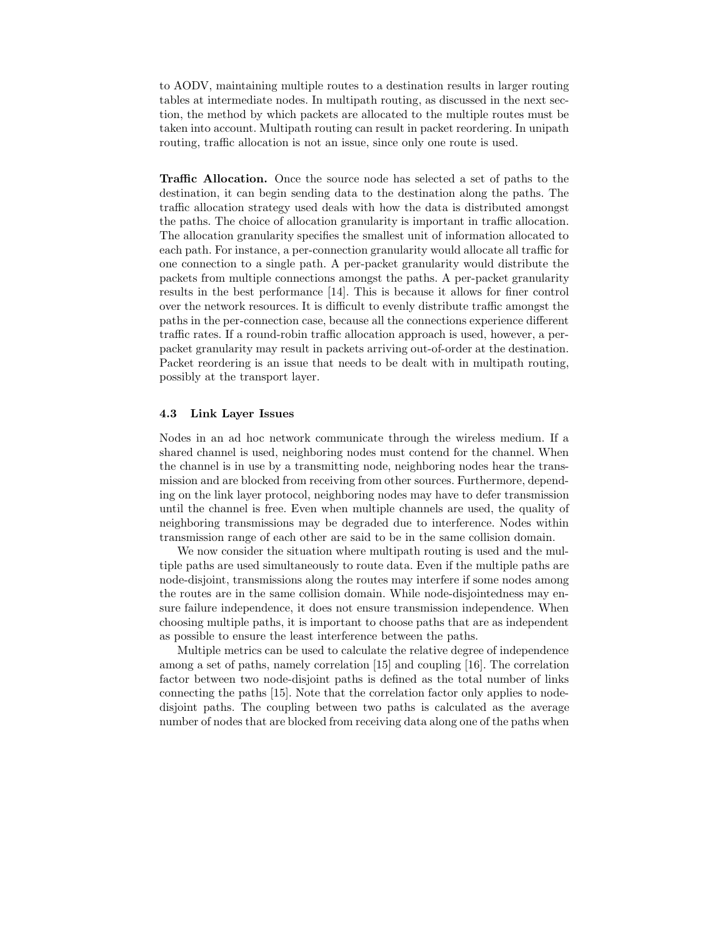to AODV, maintaining multiple routes to a destination results in larger routing tables at intermediate nodes. In multipath routing, as discussed in the next section, the method by which packets are allocated to the multiple routes must be taken into account. Multipath routing can result in packet reordering. In unipath routing, traffic allocation is not an issue, since only one route is used.

**Traffic Allocation.** Once the source node has selected a set of paths to the destination, it can begin sending data to the destination along the paths. The traffic allocation strategy used deals with how the data is distributed amongst the paths. The choice of allocation granularity is important in traffic allocation. The allocation granularity specifies the smallest unit of information allocated to each path. For instance, a per-connection granularity would allocate all traffic for one connection to a single path. A per-packet granularity would distribute the packets from multiple connections amongst the paths. A per-packet granularity results in the best performance [14]. This is because it allows for finer control over the network resources. It is difficult to evenly distribute traffic amongst the paths in the per-connection case, because all the connections experience different traffic rates. If a round-robin traffic allocation approach is used, however, a perpacket granularity may result in packets arriving out-of-order at the destination. Packet reordering is an issue that needs to be dealt with in multipath routing, possibly at the transport layer.

### **4.3 Link Layer Issues**

Nodes in an ad hoc network communicate through the wireless medium. If a shared channel is used, neighboring nodes must contend for the channel. When the channel is in use by a transmitting node, neighboring nodes hear the transmission and are blocked from receiving from other sources. Furthermore, depending on the link layer protocol, neighboring nodes may have to defer transmission until the channel is free. Even when multiple channels are used, the quality of neighboring transmissions may be degraded due to interference. Nodes within transmission range of each other are said to be in the same collision domain.

We now consider the situation where multipath routing is used and the multiple paths are used simultaneously to route data. Even if the multiple paths are node-disjoint, transmissions along the routes may interfere if some nodes among the routes are in the same collision domain. While node-disjointedness may ensure failure independence, it does not ensure transmission independence. When choosing multiple paths, it is important to choose paths that are as independent as possible to ensure the least interference between the paths.

Multiple metrics can be used to calculate the relative degree of independence among a set of paths, namely correlation [15] and coupling [16]. The correlation factor between two node-disjoint paths is defined as the total number of links connecting the paths [15]. Note that the correlation factor only applies to nodedisjoint paths. The coupling between two paths is calculated as the average number of nodes that are blocked from receiving data along one of the paths when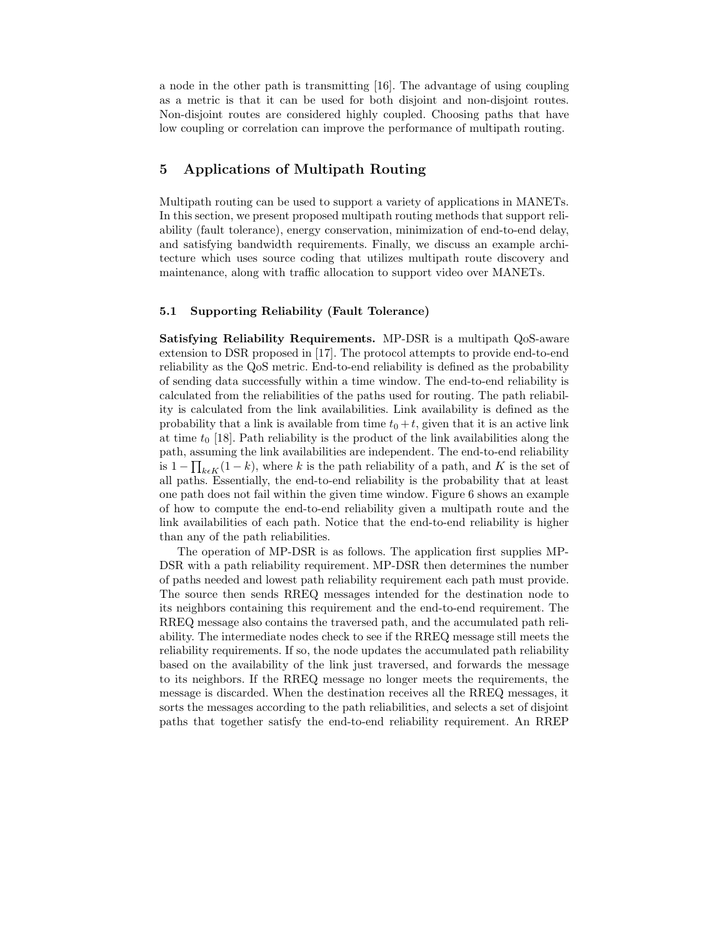a node in the other path is transmitting [16]. The advantage of using coupling as a metric is that it can be used for both disjoint and non-disjoint routes. Non-disjoint routes are considered highly coupled. Choosing paths that have low coupling or correlation can improve the performance of multipath routing.

# **5 Applications of Multipath Routing**

Multipath routing can be used to support a variety of applications in MANETs. In this section, we present proposed multipath routing methods that support reliability (fault tolerance), energy conservation, minimization of end-to-end delay, and satisfying bandwidth requirements. Finally, we discuss an example architecture which uses source coding that utilizes multipath route discovery and maintenance, along with traffic allocation to support video over MANETs.

### **5.1 Supporting Reliability (Fault Tolerance)**

**Satisfying Reliability Requirements.** MP-DSR is a multipath QoS-aware extension to DSR proposed in [17]. The protocol attempts to provide end-to-end reliability as the QoS metric. End-to-end reliability is defined as the probability of sending data successfully within a time window. The end-to-end reliability is calculated from the reliabilities of the paths used for routing. The path reliability is calculated from the link availabilities. Link availability is defined as the probability that a link is available from time  $t_0 + t$ , given that it is an active link at time  $t_0$  [18]. Path reliability is the product of the link availabilities along the path, assuming the link availabilities are independent. The end-to-end reliability is  $1 - \prod_{k \in K} (1 - k)$ , where *k* is the path reliability of a path, and *K* is the set of all paths. Essentially, the end-to-end reliability is the probability that at least one path does not fail within the given time window. Figure 6 shows an example of how to compute the end-to-end reliability given a multipath route and the link availabilities of each path. Notice that the end-to-end reliability is higher than any of the path reliabilities.

The operation of MP-DSR is as follows. The application first supplies MP-DSR with a path reliability requirement. MP-DSR then determines the number of paths needed and lowest path reliability requirement each path must provide. The source then sends RREQ messages intended for the destination node to its neighbors containing this requirement and the end-to-end requirement. The RREQ message also contains the traversed path, and the accumulated path reliability. The intermediate nodes check to see if the RREQ message still meets the reliability requirements. If so, the node updates the accumulated path reliability based on the availability of the link just traversed, and forwards the message to its neighbors. If the RREQ message no longer meets the requirements, the message is discarded. When the destination receives all the RREQ messages, it sorts the messages according to the path reliabilities, and selects a set of disjoint paths that together satisfy the end-to-end reliability requirement. An RREP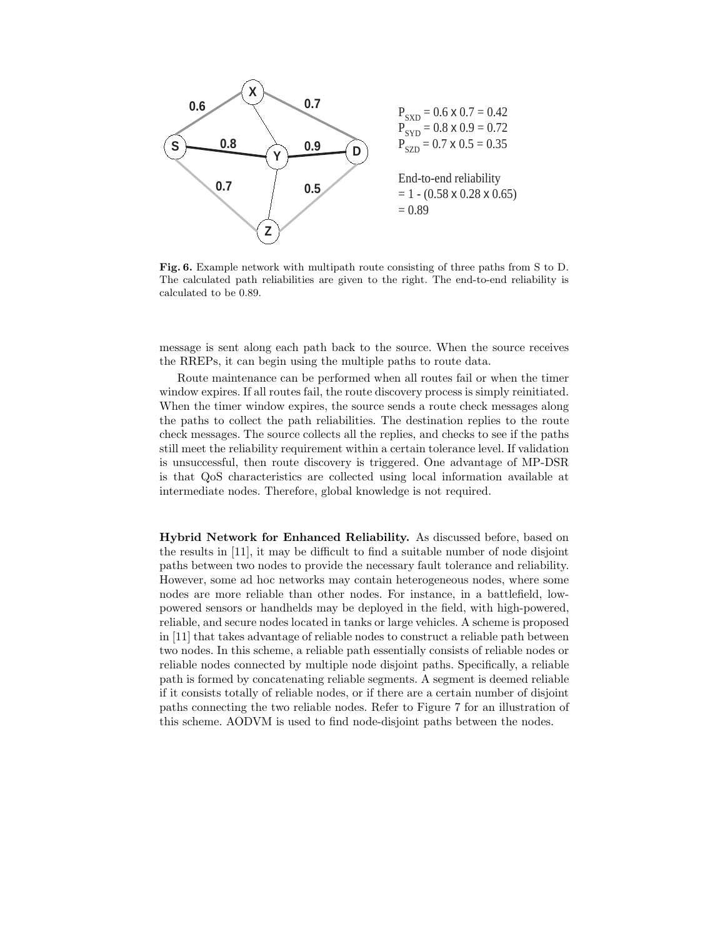

**Fig. 6.** Example network with multipath route consisting of three paths from S to D. The calculated path reliabilities are given to the right. The end-to-end reliability is calculated to be 0.89.

message is sent along each path back to the source. When the source receives the RREPs, it can begin using the multiple paths to route data.

Route maintenance can be performed when all routes fail or when the timer window expires. If all routes fail, the route discovery process is simply reinitiated. When the timer window expires, the source sends a route check messages along the paths to collect the path reliabilities. The destination replies to the route check messages. The source collects all the replies, and checks to see if the paths still meet the reliability requirement within a certain tolerance level. If validation is unsuccessful, then route discovery is triggered. One advantage of MP-DSR is that QoS characteristics are collected using local information available at intermediate nodes. Therefore, global knowledge is not required.

**Hybrid Network for Enhanced Reliability.** As discussed before, based on the results in [11], it may be difficult to find a suitable number of node disjoint paths between two nodes to provide the necessary fault tolerance and reliability. However, some ad hoc networks may contain heterogeneous nodes, where some nodes are more reliable than other nodes. For instance, in a battlefield, lowpowered sensors or handhelds may be deployed in the field, with high-powered, reliable, and secure nodes located in tanks or large vehicles. A scheme is proposed in [11] that takes advantage of reliable nodes to construct a reliable path between two nodes. In this scheme, a reliable path essentially consists of reliable nodes or reliable nodes connected by multiple node disjoint paths. Specifically, a reliable path is formed by concatenating reliable segments. A segment is deemed reliable if it consists totally of reliable nodes, or if there are a certain number of disjoint paths connecting the two reliable nodes. Refer to Figure 7 for an illustration of this scheme. AODVM is used to find node-disjoint paths between the nodes.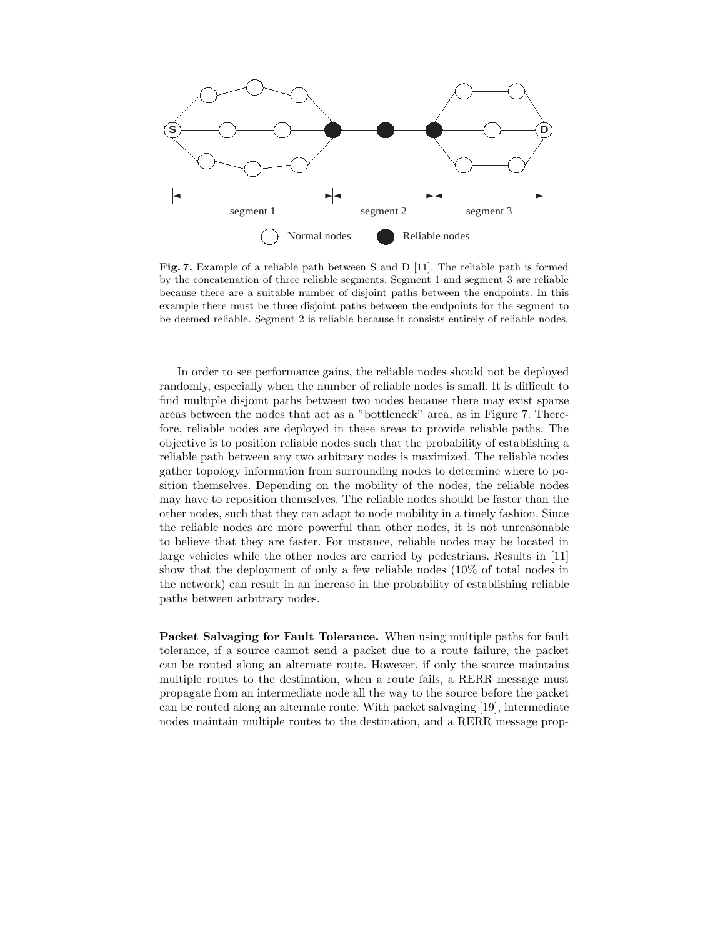

**Fig. 7.** Example of a reliable path between S and D [11]. The reliable path is formed by the concatenation of three reliable segments. Segment 1 and segment 3 are reliable because there are a suitable number of disjoint paths between the endpoints. In this example there must be three disjoint paths between the endpoints for the segment to be deemed reliable. Segment 2 is reliable because it consists entirely of reliable nodes.

In order to see performance gains, the reliable nodes should not be deployed randomly, especially when the number of reliable nodes is small. It is difficult to find multiple disjoint paths between two nodes because there may exist sparse areas between the nodes that act as a "bottleneck" area, as in Figure 7. Therefore, reliable nodes are deployed in these areas to provide reliable paths. The objective is to position reliable nodes such that the probability of establishing a reliable path between any two arbitrary nodes is maximized. The reliable nodes gather topology information from surrounding nodes to determine where to position themselves. Depending on the mobility of the nodes, the reliable nodes may have to reposition themselves. The reliable nodes should be faster than the other nodes, such that they can adapt to node mobility in a timely fashion. Since the reliable nodes are more powerful than other nodes, it is not unreasonable to believe that they are faster. For instance, reliable nodes may be located in large vehicles while the other nodes are carried by pedestrians. Results in [11] show that the deployment of only a few reliable nodes (10% of total nodes in the network) can result in an increase in the probability of establishing reliable paths between arbitrary nodes.

**Packet Salvaging for Fault Tolerance.** When using multiple paths for fault tolerance, if a source cannot send a packet due to a route failure, the packet can be routed along an alternate route. However, if only the source maintains multiple routes to the destination, when a route fails, a RERR message must propagate from an intermediate node all the way to the source before the packet can be routed along an alternate route. With packet salvaging [19], intermediate nodes maintain multiple routes to the destination, and a RERR message prop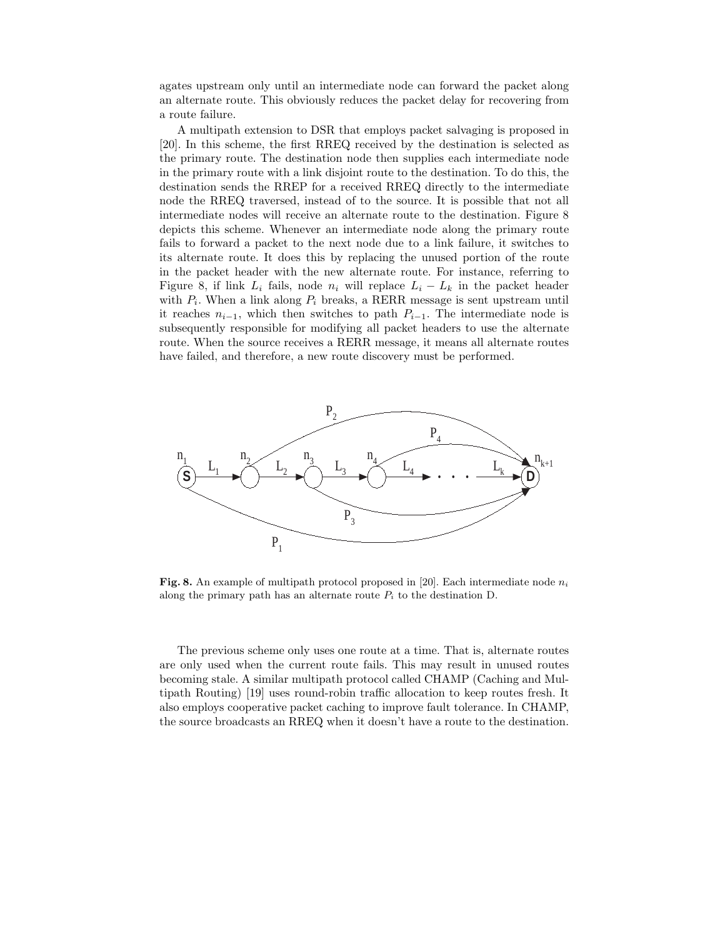agates upstream only until an intermediate node can forward the packet along an alternate route. This obviously reduces the packet delay for recovering from a route failure.

A multipath extension to DSR that employs packet salvaging is proposed in [20]. In this scheme, the first RREQ received by the destination is selected as the primary route. The destination node then supplies each intermediate node in the primary route with a link disjoint route to the destination. To do this, the destination sends the RREP for a received RREQ directly to the intermediate node the RREQ traversed, instead of to the source. It is possible that not all intermediate nodes will receive an alternate route to the destination. Figure 8 depicts this scheme. Whenever an intermediate node along the primary route fails to forward a packet to the next node due to a link failure, it switches to its alternate route. It does this by replacing the unused portion of the route in the packet header with the new alternate route. For instance, referring to Figure 8, if link  $L_i$  fails, node  $n_i$  will replace  $L_i - L_k$  in the packet header with  $P_i$ . When a link along  $P_i$  breaks, a RERR message is sent upstream until it reaches  $n_{i-1}$ , which then switches to path  $P_{i-1}$ . The intermediate node is subsequently responsible for modifying all packet headers to use the alternate route. When the source receives a RERR message, it means all alternate routes have failed, and therefore, a new route discovery must be performed.



**Fig. 8.** An example of multipath protocol proposed in [20]. Each intermediate node *<sup>n</sup>*<sup>i</sup> along the primary path has an alternate route  $P_i$  to the destination D.

The previous scheme only uses one route at a time. That is, alternate routes are only used when the current route fails. This may result in unused routes becoming stale. A similar multipath protocol called CHAMP (Caching and Multipath Routing) [19] uses round-robin traffic allocation to keep routes fresh. It also employs cooperative packet caching to improve fault tolerance. In CHAMP, the source broadcasts an RREQ when it doesn't have a route to the destination.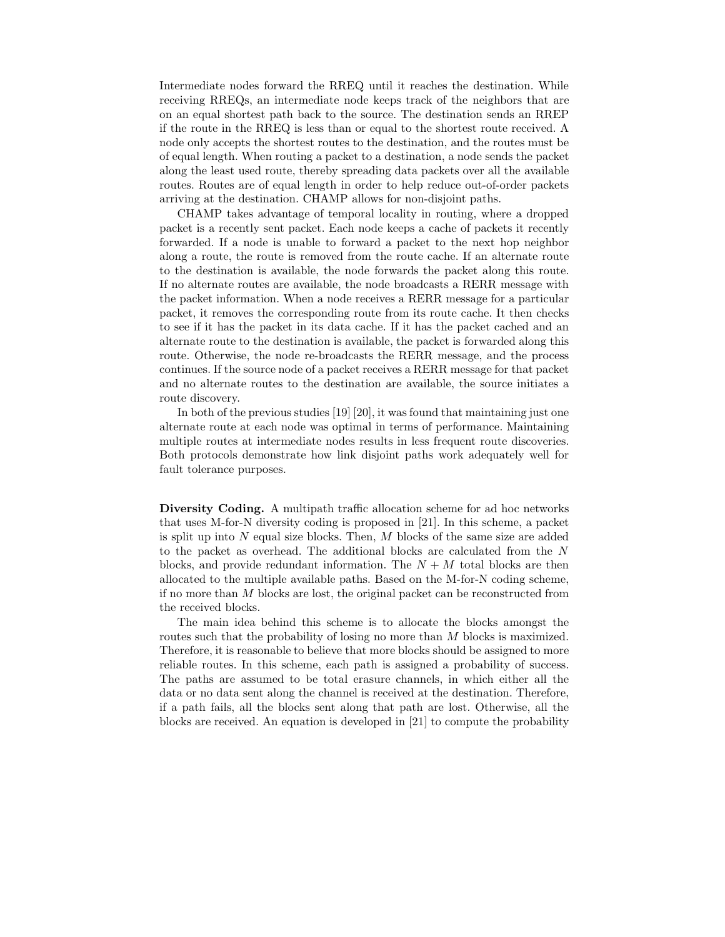Intermediate nodes forward the RREQ until it reaches the destination. While receiving RREQs, an intermediate node keeps track of the neighbors that are on an equal shortest path back to the source. The destination sends an RREP if the route in the RREQ is less than or equal to the shortest route received. A node only accepts the shortest routes to the destination, and the routes must be of equal length. When routing a packet to a destination, a node sends the packet along the least used route, thereby spreading data packets over all the available routes. Routes are of equal length in order to help reduce out-of-order packets arriving at the destination. CHAMP allows for non-disjoint paths.

CHAMP takes advantage of temporal locality in routing, where a dropped packet is a recently sent packet. Each node keeps a cache of packets it recently forwarded. If a node is unable to forward a packet to the next hop neighbor along a route, the route is removed from the route cache. If an alternate route to the destination is available, the node forwards the packet along this route. If no alternate routes are available, the node broadcasts a RERR message with the packet information. When a node receives a RERR message for a particular packet, it removes the corresponding route from its route cache. It then checks to see if it has the packet in its data cache. If it has the packet cached and an alternate route to the destination is available, the packet is forwarded along this route. Otherwise, the node re-broadcasts the RERR message, and the process continues. If the source node of a packet receives a RERR message for that packet and no alternate routes to the destination are available, the source initiates a route discovery.

In both of the previous studies [19] [20], it was found that maintaining just one alternate route at each node was optimal in terms of performance. Maintaining multiple routes at intermediate nodes results in less frequent route discoveries. Both protocols demonstrate how link disjoint paths work adequately well for fault tolerance purposes.

**Diversity Coding.** A multipath traffic allocation scheme for ad hoc networks that uses M-for-N diversity coding is proposed in [21]. In this scheme, a packet is split up into *N* equal size blocks. Then, *M* blocks of the same size are added to the packet as overhead. The additional blocks are calculated from the *N* blocks, and provide redundant information. The  $N + M$  total blocks are then allocated to the multiple available paths. Based on the M-for-N coding scheme, if no more than *M* blocks are lost, the original packet can be reconstructed from the received blocks.

The main idea behind this scheme is to allocate the blocks amongst the routes such that the probability of losing no more than *M* blocks is maximized. Therefore, it is reasonable to believe that more blocks should be assigned to more reliable routes. In this scheme, each path is assigned a probability of success. The paths are assumed to be total erasure channels, in which either all the data or no data sent along the channel is received at the destination. Therefore, if a path fails, all the blocks sent along that path are lost. Otherwise, all the blocks are received. An equation is developed in [21] to compute the probability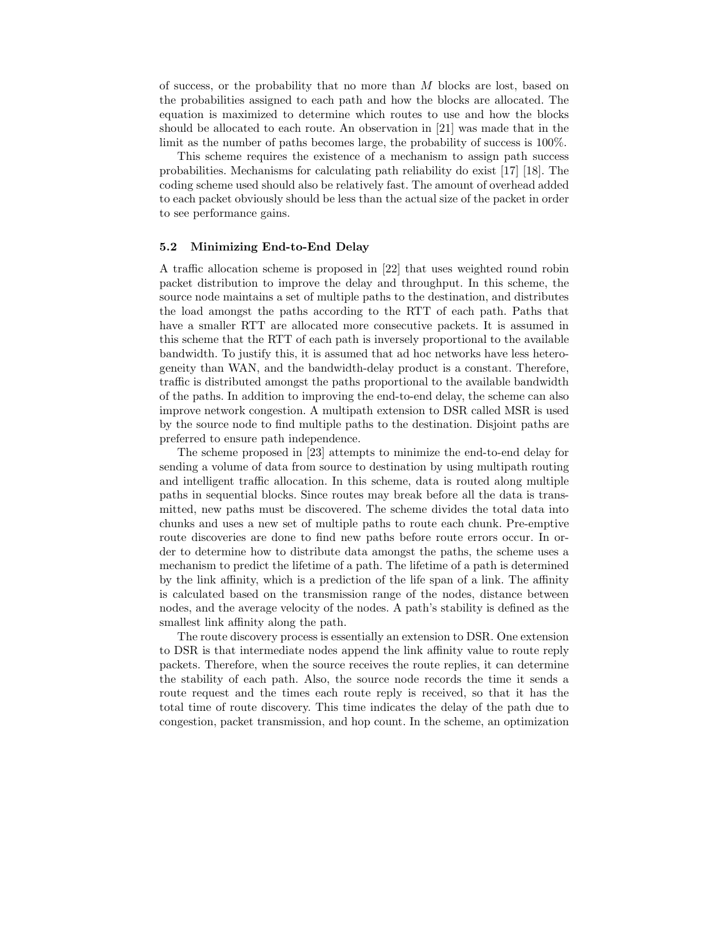of success, or the probability that no more than *M* blocks are lost, based on the probabilities assigned to each path and how the blocks are allocated. The equation is maximized to determine which routes to use and how the blocks should be allocated to each route. An observation in [21] was made that in the limit as the number of paths becomes large, the probability of success is 100%.

This scheme requires the existence of a mechanism to assign path success probabilities. Mechanisms for calculating path reliability do exist [17] [18]. The coding scheme used should also be relatively fast. The amount of overhead added to each packet obviously should be less than the actual size of the packet in order to see performance gains.

### **5.2 Minimizing End-to-End Delay**

A traffic allocation scheme is proposed in [22] that uses weighted round robin packet distribution to improve the delay and throughput. In this scheme, the source node maintains a set of multiple paths to the destination, and distributes the load amongst the paths according to the RTT of each path. Paths that have a smaller RTT are allocated more consecutive packets. It is assumed in this scheme that the RTT of each path is inversely proportional to the available bandwidth. To justify this, it is assumed that ad hoc networks have less heterogeneity than WAN, and the bandwidth-delay product is a constant. Therefore, traffic is distributed amongst the paths proportional to the available bandwidth of the paths. In addition to improving the end-to-end delay, the scheme can also improve network congestion. A multipath extension to DSR called MSR is used by the source node to find multiple paths to the destination. Disjoint paths are preferred to ensure path independence.

The scheme proposed in [23] attempts to minimize the end-to-end delay for sending a volume of data from source to destination by using multipath routing and intelligent traffic allocation. In this scheme, data is routed along multiple paths in sequential blocks. Since routes may break before all the data is transmitted, new paths must be discovered. The scheme divides the total data into chunks and uses a new set of multiple paths to route each chunk. Pre-emptive route discoveries are done to find new paths before route errors occur. In order to determine how to distribute data amongst the paths, the scheme uses a mechanism to predict the lifetime of a path. The lifetime of a path is determined by the link affinity, which is a prediction of the life span of a link. The affinity is calculated based on the transmission range of the nodes, distance between nodes, and the average velocity of the nodes. A path's stability is defined as the smallest link affinity along the path.

The route discovery process is essentially an extension to DSR. One extension to DSR is that intermediate nodes append the link affinity value to route reply packets. Therefore, when the source receives the route replies, it can determine the stability of each path. Also, the source node records the time it sends a route request and the times each route reply is received, so that it has the total time of route discovery. This time indicates the delay of the path due to congestion, packet transmission, and hop count. In the scheme, an optimization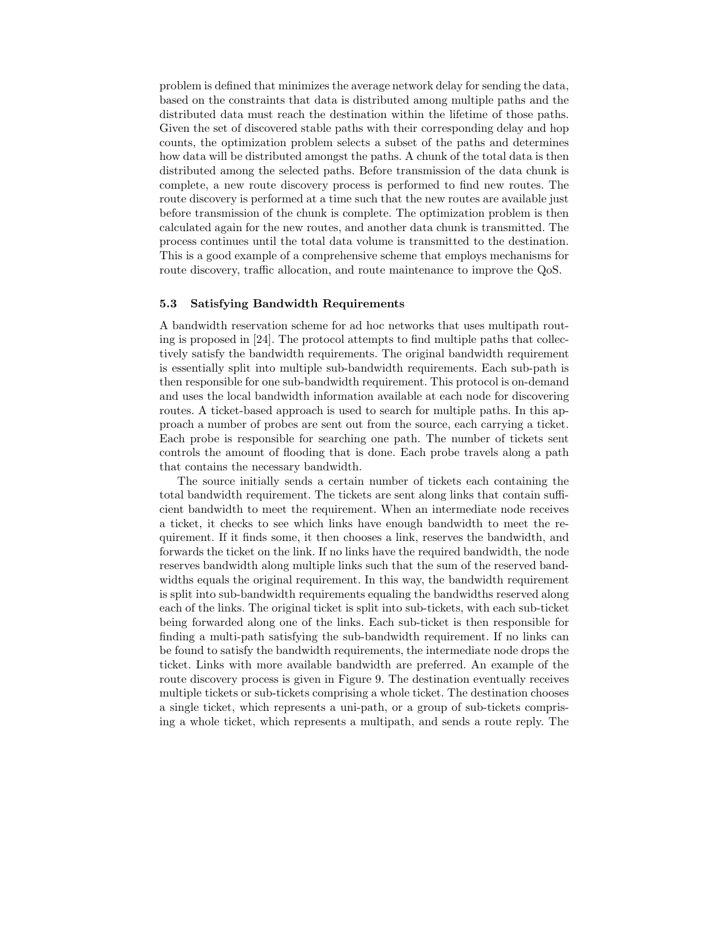problem is defined that minimizes the average network delay for sending the data, based on the constraints that data is distributed among multiple paths and the distributed data must reach the destination within the lifetime of those paths. Given the set of discovered stable paths with their corresponding delay and hop counts, the optimization problem selects a subset of the paths and determines how data will be distributed amongst the paths. A chunk of the total data is then distributed among the selected paths. Before transmission of the data chunk is complete, a new route discovery process is performed to find new routes. The route discovery is performed at a time such that the new routes are available just before transmission of the chunk is complete. The optimization problem is then calculated again for the new routes, and another data chunk is transmitted. The process continues until the total data volume is transmitted to the destination. This is a good example of a comprehensive scheme that employs mechanisms for route discovery, traffic allocation, and route maintenance to improve the QoS.

#### **5.3 Satisfying Bandwidth Requirements**

A bandwidth reservation scheme for ad hoc networks that uses multipath routing is proposed in [24]. The protocol attempts to find multiple paths that collectively satisfy the bandwidth requirements. The original bandwidth requirement is essentially split into multiple sub-bandwidth requirements. Each sub-path is then responsible for one sub-bandwidth requirement. This protocol is on-demand and uses the local bandwidth information available at each node for discovering routes. A ticket-based approach is used to search for multiple paths. In this approach a number of probes are sent out from the source, each carrying a ticket. Each probe is responsible for searching one path. The number of tickets sent controls the amount of flooding that is done. Each probe travels along a path that contains the necessary bandwidth.

The source initially sends a certain number of tickets each containing the total bandwidth requirement. The tickets are sent along links that contain sufficient bandwidth to meet the requirement. When an intermediate node receives a ticket, it checks to see which links have enough bandwidth to meet the requirement. If it finds some, it then chooses a link, reserves the bandwidth, and forwards the ticket on the link. If no links have the required bandwidth, the node reserves bandwidth along multiple links such that the sum of the reserved bandwidths equals the original requirement. In this way, the bandwidth requirement is split into sub-bandwidth requirements equaling the bandwidths reserved along each of the links. The original ticket is split into sub-tickets, with each sub-ticket being forwarded along one of the links. Each sub-ticket is then responsible for finding a multi-path satisfying the sub-bandwidth requirement. If no links can be found to satisfy the bandwidth requirements, the intermediate node drops the ticket. Links with more available bandwidth are preferred. An example of the route discovery process is given in Figure 9. The destination eventually receives multiple tickets or sub-tickets comprising a whole ticket. The destination chooses a single ticket, which represents a uni-path, or a group of sub-tickets comprising a whole ticket, which represents a multipath, and sends a route reply. The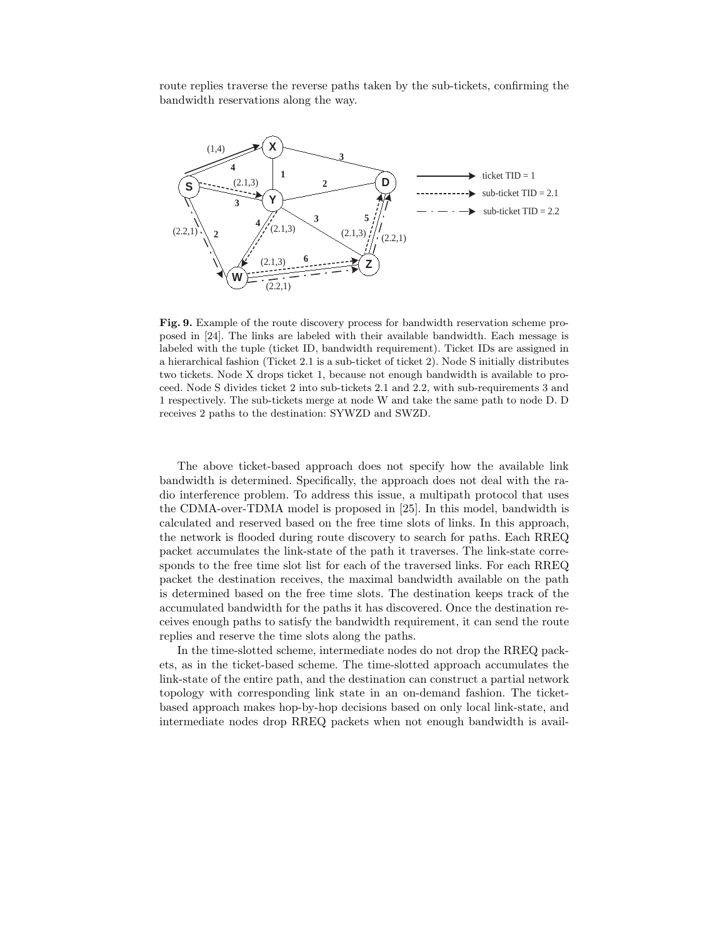route replies traverse the reverse paths taken by the sub-tickets, confirming the bandwidth reservations along the way.



**Fig. 9.** Example of the route discovery process for bandwidth reservation scheme proposed in [24]. The links are labeled with their available bandwidth. Each message is labeled with the tuple (ticket ID, bandwidth requirement). Ticket IDs are assigned in a hierarchical fashion (Ticket 2.1 is a sub-ticket of ticket 2). Node S initially distributes two tickets. Node X drops ticket 1, because not enough bandwidth is available to proceed. Node S divides ticket 2 into sub-tickets 2.1 and 2.2, with sub-requirements 3 and 1 respectively. The sub-tickets merge at node W and take the same path to node D. D receives 2 paths to the destination: SYWZD and SWZD.

The above ticket-based approach does not specify how the available link bandwidth is determined. Specifically, the approach does not deal with the radio interference problem. To address this issue, a multipath protocol that uses the CDMA-over-TDMA model is proposed in [25]. In this model, bandwidth is calculated and reserved based on the free time slots of links. In this approach, the network is flooded during route discovery to search for paths. Each RREQ packet accumulates the link-state of the path it traverses. The link-state corresponds to the free time slot list for each of the traversed links. For each RREQ packet the destination receives, the maximal bandwidth available on the path is determined based on the free time slots. The destination keeps track of the accumulated bandwidth for the paths it has discovered. Once the destination receives enough paths to satisfy the bandwidth requirement, it can send the route replies and reserve the time slots along the paths.

In the time-slotted scheme, intermediate nodes do not drop the RREQ packets, as in the ticket-based scheme. The time-slotted approach accumulates the link-state of the entire path, and the destination can construct a partial network topology with corresponding link state in an on-demand fashion. The ticketbased approach makes hop-by-hop decisions based on only local link-state, and intermediate nodes drop RREQ packets when not enough bandwidth is avail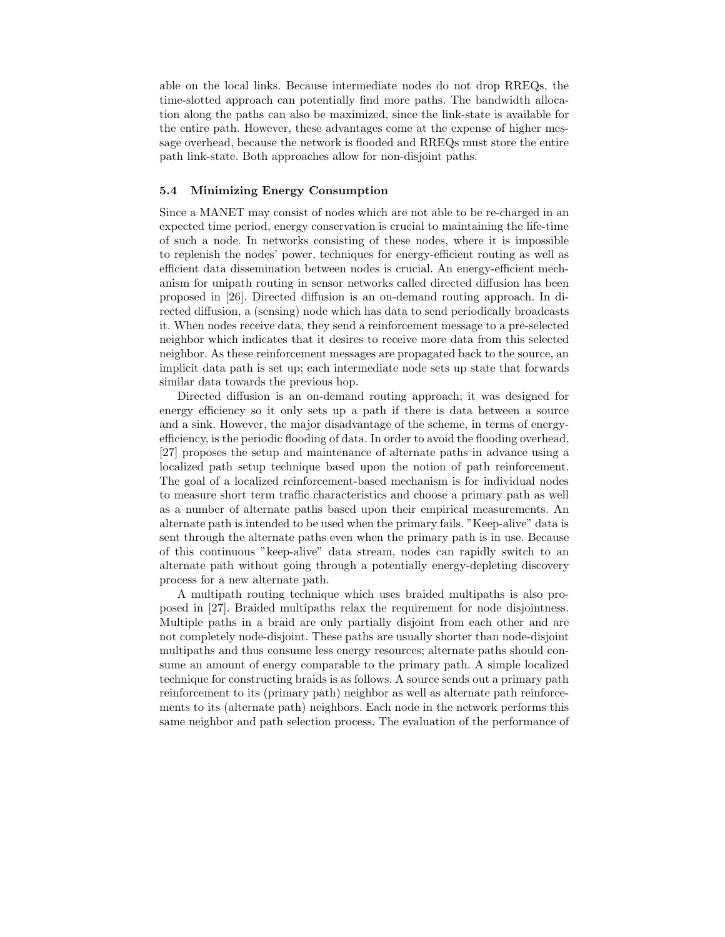able on the local links. Because intermediate nodes do not drop RREQs, the time-slotted approach can potentially find more paths. The bandwidth allocation along the paths can also be maximized, since the link-state is available for the entire path. However, these advantages come at the expense of higher message overhead, because the network is flooded and RREQs must store the entire path link-state. Both approaches allow for non-disjoint paths.

### **5.4 Minimizing Energy Consumption**

Since a MANET may consist of nodes which are not able to be re-charged in an expected time period, energy conservation is crucial to maintaining the life-time of such a node. In networks consisting of these nodes, where it is impossible to replenish the nodes' power, techniques for energy-efficient routing as well as efficient data dissemination between nodes is crucial. An energy-efficient mechanism for unipath routing in sensor networks called directed diffusion has been proposed in [26]. Directed diffusion is an on-demand routing approach. In directed diffusion, a (sensing) node which has data to send periodically broadcasts it. When nodes receive data, they send a reinforcement message to a pre-selected neighbor which indicates that it desires to receive more data from this selected neighbor. As these reinforcement messages are propagated back to the source, an implicit data path is set up; each intermediate node sets up state that forwards similar data towards the previous hop.

Directed diffusion is an on-demand routing approach; it was designed for energy efficiency so it only sets up a path if there is data between a source and a sink. However, the major disadvantage of the scheme, in terms of energyefficiency, is the periodic flooding of data. In order to avoid the flooding overhead, [27] proposes the setup and maintenance of alternate paths in advance using a localized path setup technique based upon the notion of path reinforcement. The goal of a localized reinforcement-based mechanism is for individual nodes to measure short term traffic characteristics and choose a primary path as well as a number of alternate paths based upon their empirical measurements. An alternate path is intended to be used when the primary fails. "Keep-alive" data is sent through the alternate paths even when the primary path is in use. Because of this continuous "keep-alive" data stream, nodes can rapidly switch to an alternate path without going through a potentially energy-depleting discovery process for a new alternate path.

A multipath routing technique which uses braided multipaths is also proposed in [27]. Braided multipaths relax the requirement for node disjointness. Multiple paths in a braid are only partially disjoint from each other and are not completely node-disjoint. These paths are usually shorter than node-disjoint multipaths and thus consume less energy resources; alternate paths should consume an amount of energy comparable to the primary path. A simple localized technique for constructing braids is as follows. A source sends out a primary path reinforcement to its (primary path) neighbor as well as alternate path reinforcements to its (alternate path) neighbors. Each node in the network performs this same neighbor and path selection process. The evaluation of the performance of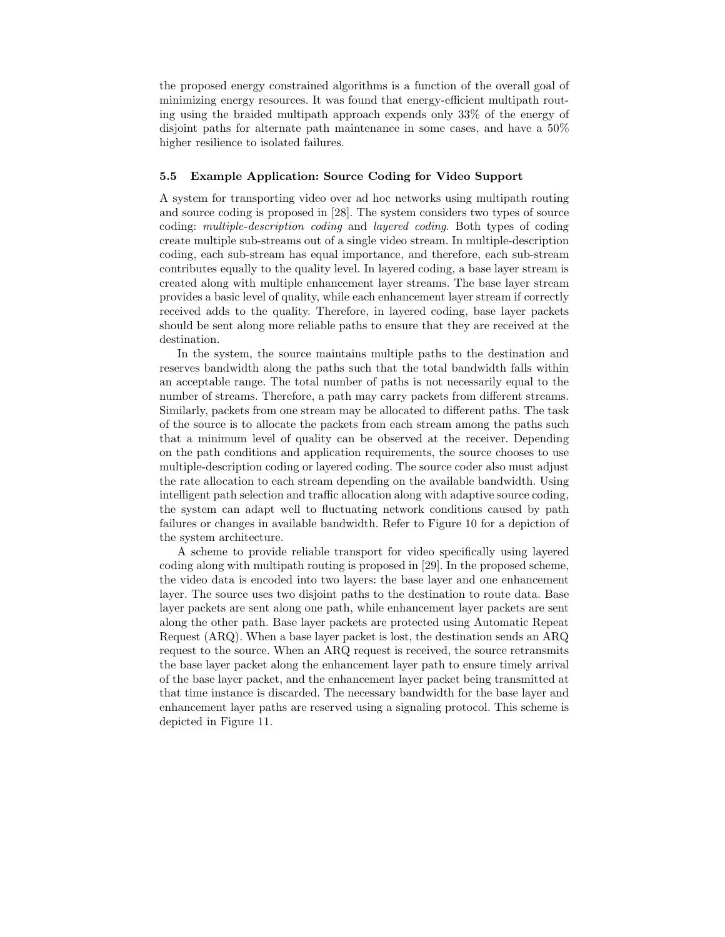the proposed energy constrained algorithms is a function of the overall goal of minimizing energy resources. It was found that energy-efficient multipath routing using the braided multipath approach expends only 33% of the energy of disjoint paths for alternate path maintenance in some cases, and have a 50% higher resilience to isolated failures.

### **5.5 Example Application: Source Coding for Video Support**

A system for transporting video over ad hoc networks using multipath routing and source coding is proposed in [28]. The system considers two types of source coding: *multiple-description coding* and *layered coding*. Both types of coding create multiple sub-streams out of a single video stream. In multiple-description coding, each sub-stream has equal importance, and therefore, each sub-stream contributes equally to the quality level. In layered coding, a base layer stream is created along with multiple enhancement layer streams. The base layer stream provides a basic level of quality, while each enhancement layer stream if correctly received adds to the quality. Therefore, in layered coding, base layer packets should be sent along more reliable paths to ensure that they are received at the destination.

In the system, the source maintains multiple paths to the destination and reserves bandwidth along the paths such that the total bandwidth falls within an acceptable range. The total number of paths is not necessarily equal to the number of streams. Therefore, a path may carry packets from different streams. Similarly, packets from one stream may be allocated to different paths. The task of the source is to allocate the packets from each stream among the paths such that a minimum level of quality can be observed at the receiver. Depending on the path conditions and application requirements, the source chooses to use multiple-description coding or layered coding. The source coder also must adjust the rate allocation to each stream depending on the available bandwidth. Using intelligent path selection and traffic allocation along with adaptive source coding, the system can adapt well to fluctuating network conditions caused by path failures or changes in available bandwidth. Refer to Figure 10 for a depiction of the system architecture.

A scheme to provide reliable transport for video specifically using layered coding along with multipath routing is proposed in [29]. In the proposed scheme, the video data is encoded into two layers: the base layer and one enhancement layer. The source uses two disjoint paths to the destination to route data. Base layer packets are sent along one path, while enhancement layer packets are sent along the other path. Base layer packets are protected using Automatic Repeat Request (ARQ). When a base layer packet is lost, the destination sends an ARQ request to the source. When an ARQ request is received, the source retransmits the base layer packet along the enhancement layer path to ensure timely arrival of the base layer packet, and the enhancement layer packet being transmitted at that time instance is discarded. The necessary bandwidth for the base layer and enhancement layer paths are reserved using a signaling protocol. This scheme is depicted in Figure 11.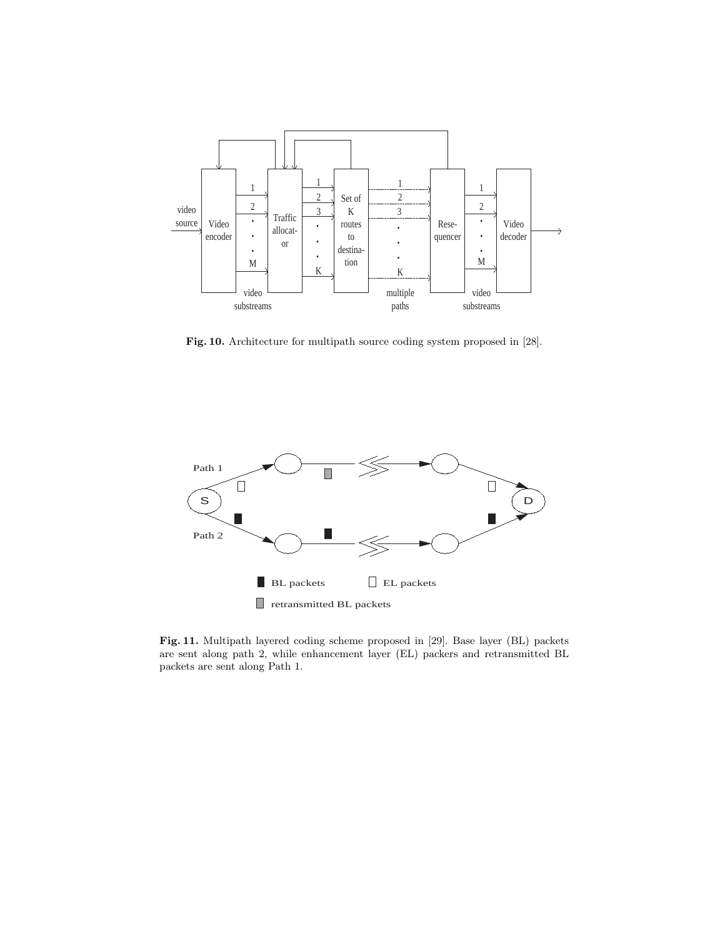

Fig. 10. Architecture for multipath source coding system proposed in [28].



**Fig. 11.** Multipath layered coding scheme proposed in [29]. Base layer (BL) packets are sent along path 2, while enhancement layer (EL) packers and retransmitted BL packets are sent along Path 1.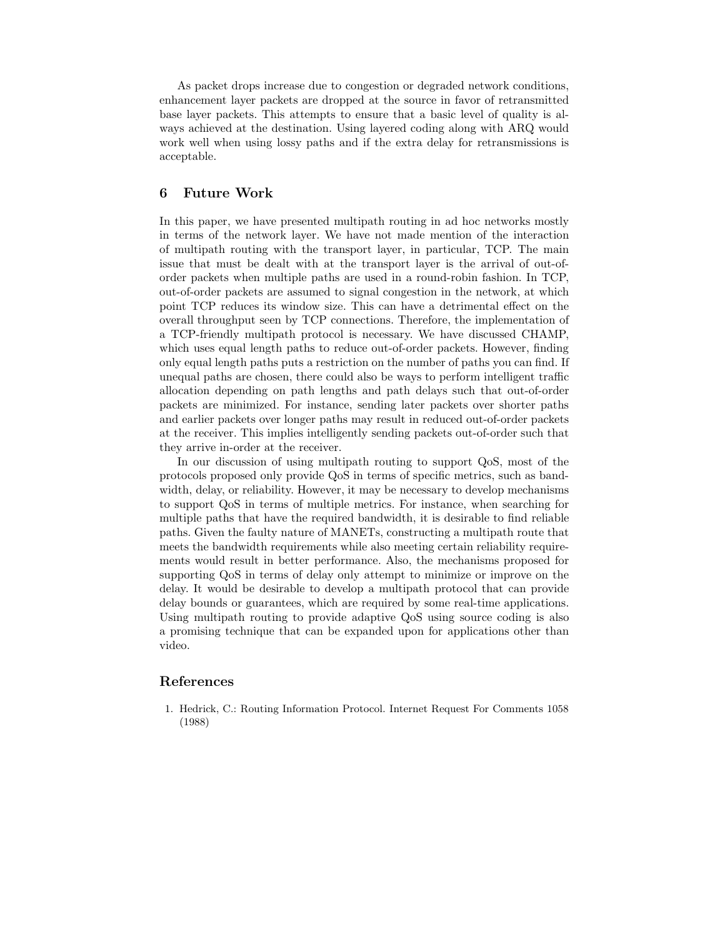As packet drops increase due to congestion or degraded network conditions, enhancement layer packets are dropped at the source in favor of retransmitted base layer packets. This attempts to ensure that a basic level of quality is always achieved at the destination. Using layered coding along with ARQ would work well when using lossy paths and if the extra delay for retransmissions is acceptable.

# **6 Future Work**

In this paper, we have presented multipath routing in ad hoc networks mostly in terms of the network layer. We have not made mention of the interaction of multipath routing with the transport layer, in particular, TCP. The main issue that must be dealt with at the transport layer is the arrival of out-oforder packets when multiple paths are used in a round-robin fashion. In TCP, out-of-order packets are assumed to signal congestion in the network, at which point TCP reduces its window size. This can have a detrimental effect on the overall throughput seen by TCP connections. Therefore, the implementation of a TCP-friendly multipath protocol is necessary. We have discussed CHAMP, which uses equal length paths to reduce out-of-order packets. However, finding only equal length paths puts a restriction on the number of paths you can find. If unequal paths are chosen, there could also be ways to perform intelligent traffic allocation depending on path lengths and path delays such that out-of-order packets are minimized. For instance, sending later packets over shorter paths and earlier packets over longer paths may result in reduced out-of-order packets at the receiver. This implies intelligently sending packets out-of-order such that they arrive in-order at the receiver.

In our discussion of using multipath routing to support QoS, most of the protocols proposed only provide QoS in terms of specific metrics, such as bandwidth, delay, or reliability. However, it may be necessary to develop mechanisms to support QoS in terms of multiple metrics. For instance, when searching for multiple paths that have the required bandwidth, it is desirable to find reliable paths. Given the faulty nature of MANETs, constructing a multipath route that meets the bandwidth requirements while also meeting certain reliability requirements would result in better performance. Also, the mechanisms proposed for supporting QoS in terms of delay only attempt to minimize or improve on the delay. It would be desirable to develop a multipath protocol that can provide delay bounds or guarantees, which are required by some real-time applications. Using multipath routing to provide adaptive QoS using source coding is also a promising technique that can be expanded upon for applications other than video.

# **References**

1. Hedrick, C.: Routing Information Protocol. Internet Request For Comments 1058 (1988)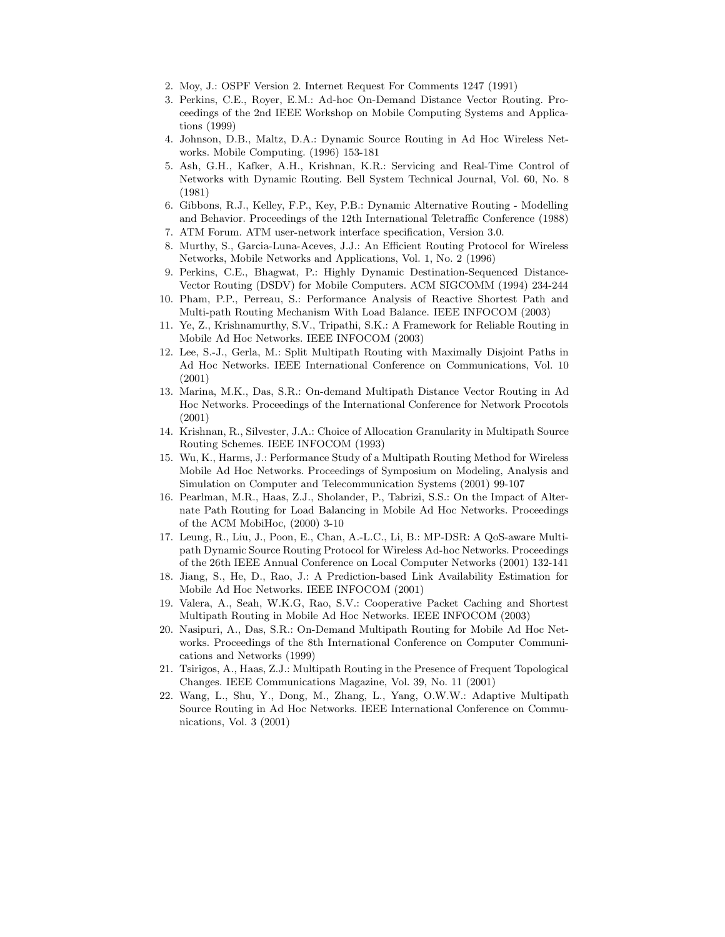- 2. Moy, J.: OSPF Version 2. Internet Request For Comments 1247 (1991)
- 3. Perkins, C.E., Royer, E.M.: Ad-hoc On-Demand Distance Vector Routing. Proceedings of the 2nd IEEE Workshop on Mobile Computing Systems and Applications (1999)
- 4. Johnson, D.B., Maltz, D.A.: Dynamic Source Routing in Ad Hoc Wireless Networks. Mobile Computing. (1996) 153-181
- 5. Ash, G.H., Kafker, A.H., Krishnan, K.R.: Servicing and Real-Time Control of Networks with Dynamic Routing. Bell System Technical Journal, Vol. 60, No. 8 (1981)
- 6. Gibbons, R.J., Kelley, F.P., Key, P.B.: Dynamic Alternative Routing Modelling and Behavior. Proceedings of the 12th International Teletraffic Conference (1988)
- 7. ATM Forum. ATM user-network interface specification, Version 3.0.
- 8. Murthy, S., Garcia-Luna-Aceves, J.J.: An Efficient Routing Protocol for Wireless Networks, Mobile Networks and Applications, Vol. 1, No. 2 (1996)
- 9. Perkins, C.E., Bhagwat, P.: Highly Dynamic Destination-Sequenced Distance-Vector Routing (DSDV) for Mobile Computers. ACM SIGCOMM (1994) 234-244
- 10. Pham, P.P., Perreau, S.: Performance Analysis of Reactive Shortest Path and Multi-path Routing Mechanism With Load Balance. IEEE INFOCOM (2003)
- 11. Ye, Z., Krishnamurthy, S.V., Tripathi, S.K.: A Framework for Reliable Routing in Mobile Ad Hoc Networks. IEEE INFOCOM (2003)
- 12. Lee, S.-J., Gerla, M.: Split Multipath Routing with Maximally Disjoint Paths in Ad Hoc Networks. IEEE International Conference on Communications, Vol. 10 (2001)
- 13. Marina, M.K., Das, S.R.: On-demand Multipath Distance Vector Routing in Ad Hoc Networks. Proceedings of the International Conference for Network Procotols (2001)
- 14. Krishnan, R., Silvester, J.A.: Choice of Allocation Granularity in Multipath Source Routing Schemes. IEEE INFOCOM (1993)
- 15. Wu, K., Harms, J.: Performance Study of a Multipath Routing Method for Wireless Mobile Ad Hoc Networks. Proceedings of Symposium on Modeling, Analysis and Simulation on Computer and Telecommunication Systems (2001) 99-107
- 16. Pearlman, M.R., Haas, Z.J., Sholander, P., Tabrizi, S.S.: On the Impact of Alternate Path Routing for Load Balancing in Mobile Ad Hoc Networks. Proceedings of the ACM MobiHoc, (2000) 3-10
- 17. Leung, R., Liu, J., Poon, E., Chan, A.-L.C., Li, B.: MP-DSR: A QoS-aware Multipath Dynamic Source Routing Protocol for Wireless Ad-hoc Networks. Proceedings of the 26th IEEE Annual Conference on Local Computer Networks (2001) 132-141
- 18. Jiang, S., He, D., Rao, J.: A Prediction-based Link Availability Estimation for Mobile Ad Hoc Networks. IEEE INFOCOM (2001)
- 19. Valera, A., Seah, W.K.G, Rao, S.V.: Cooperative Packet Caching and Shortest Multipath Routing in Mobile Ad Hoc Networks. IEEE INFOCOM (2003)
- 20. Nasipuri, A., Das, S.R.: On-Demand Multipath Routing for Mobile Ad Hoc Networks. Proceedings of the 8th International Conference on Computer Communications and Networks (1999)
- 21. Tsirigos, A., Haas, Z.J.: Multipath Routing in the Presence of Frequent Topological Changes. IEEE Communications Magazine, Vol. 39, No. 11 (2001)
- 22. Wang, L., Shu, Y., Dong, M., Zhang, L., Yang, O.W.W.: Adaptive Multipath Source Routing in Ad Hoc Networks. IEEE International Conference on Communications, Vol. 3 (2001)